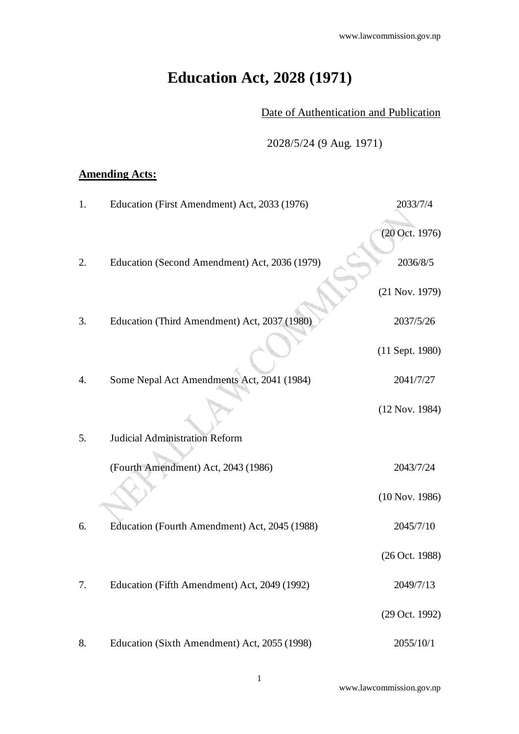# **Education Act, 2028 (1971)**

Date of Authentication and Publication

2028/5/24 (9 Aug. 1971)

## **Amending Acts:**

| 1. | Education (First Amendment) Act, 2033 (1976)  | 2033/7/4          |
|----|-----------------------------------------------|-------------------|
|    |                                               | $(20$ Oct. 1976)  |
| 2. | Education (Second Amendment) Act, 2036 (1979) | 2036/8/5          |
|    |                                               | $(21$ Nov. 1979)  |
| 3. | Education (Third Amendment) Act, 2037 (1980)  | 2037/5/26         |
|    |                                               | $(11$ Sept. 1980) |
| 4. | Some Nepal Act Amendments Act, 2041 (1984)    | 2041/7/27         |
|    |                                               | (12 Nov. 1984)    |
| 5. | <b>Judicial Administration Reform</b>         |                   |
|    | (Fourth Amendment) Act, 2043 (1986)           | 2043/7/24         |
|    |                                               | $(10$ Nov. 1986)  |
| 6. | Education (Fourth Amendment) Act, 2045 (1988) | 2045/7/10         |
|    |                                               | $(26$ Oct. 1988)  |
| 7. | Education (Fifth Amendment) Act, 2049 (1992)  | 2049/7/13         |
|    |                                               | (29 Oct. 1992)    |
| 8. | Education (Sixth Amendment) Act, 2055 (1998)  | 2055/10/1         |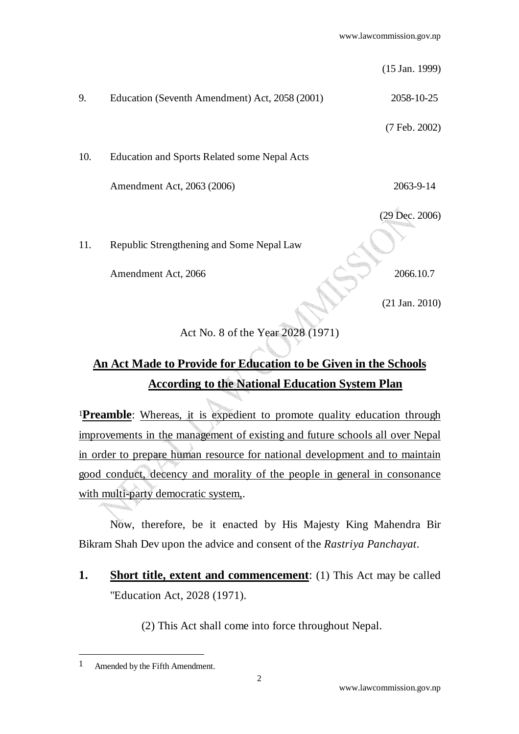(15 Jan. 1999)

9. Education (Seventh Amendment) Act, 2058 (2001) 2058-10-25

(7 Feb. 2002)

10. Education and Sports Related some Nepal Acts

Amendment Act, 2063 (2006) 2063-9-14

(29 Dec. 2006)

11. Republic Strengthening and Some Nepal Law

Amendment Act, 2066 2066.10.7

(21 Jan. 2010)

## Act No. 8 of the Year 2028 (1971)

## **An Act Made to Provide for Education to be Given in the Schools According to the National Education System Plan**

<sup>1</sup>**Preamble**: Whereas, it is expedient to promote quality education through improvements in the management of existing and future schools all over Nepal in order to prepare human resource for national development and to maintain good conduct, decency and morality of the people in general in consonance with multi-party democratic system,.

 Now, therefore, be it enacted by His Majesty King Mahendra Bir Bikram Shah Dev upon the advice and consent of the *Rastriya Panchayat*.

**1. Short title, extent and commencement**: (1) This Act may be called "Education Act, 2028 (1971).

(2) This Act shall come into force throughout Nepal.

<sup>1</sup> Amended by the Fifth Amendment.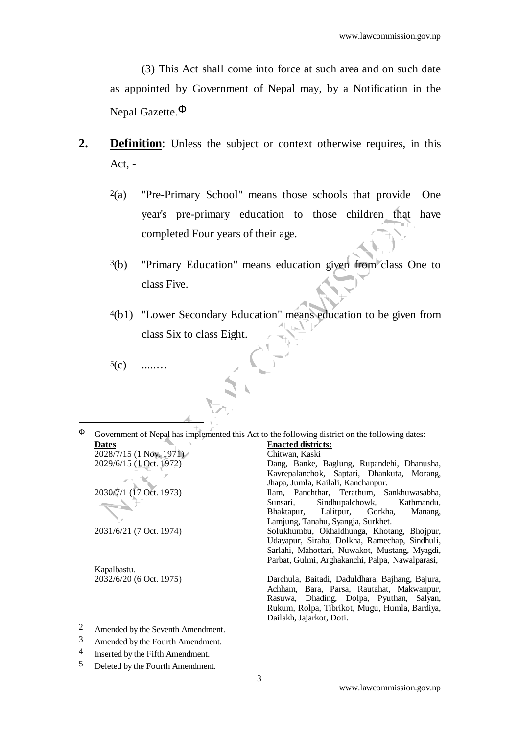(3) This Act shall come into force at such area and on such date as appointed by Government of Nepal may, by a Notification in the Nepal Gazette.Φ

- **2. Definition**: Unless the subject or context otherwise requires, in this Act, -
	- $2(a)$  "Pre-Primary School" means those schools that provide One year's pre-primary education to those children that have completed Four years of their age.
	- 3(b) "Primary Education" means education given from class One to class Five.
	- 4(b1) "Lower Secondary Education" means education to be given from class Six to class Eight.
	- $5(c)$

-

 $\Phi$  Government of Nepal has implemented this Act to the following district on the following dates:



Kapalbastu.

Dang, Banke, Baglung, Rupandehi, Dhanusha, Kavrepalanchok, Saptari, Dhankuta, Morang, Jhapa, Jumla, Kailali, Kanchanpur. 2030/7/1 (17 Oct. 1973) Ilam, Panchthar, Terathum, Sankhuwasabha, Sunsari, Sindhupalchowk, Kathmandu, Bhaktapur, Lalitpur, Gorkha, Manang, Lamjung, Tanahu, Syangja, Surkhet. 2031/6/21 (7 Oct. 1974) Solukhumbu, Okhaldhunga, Khotang, Bhojpur, Udayapur, Siraha, Dolkha, Ramechap, Sindhuli, Sarlahi, Mahottari, Nuwakot, Mustang, Myagdi, Parbat, Gulmi, Arghakanchi, Palpa, Nawalparasi, 2032/6/20 (6 Oct. 1975) Darchula, Baitadi, Daduldhara, Bajhang, Bajura, Achham, Bara, Parsa, Rautahat, Makwanpur, Rasuwa, Dhading, Dolpa, Pyuthan, Salyan,

Rukum, Rolpa, Tibrikot, Mugu, Humla, Bardiya,

Dailakh, Jajarkot, Doti.

- 2 Amended by the Seventh Amendment.
- 3 Amended by the Fourth Amendment.
- 4 Inserted by the Fifth Amendment.
- 5 Deleted by the Fourth Amendment.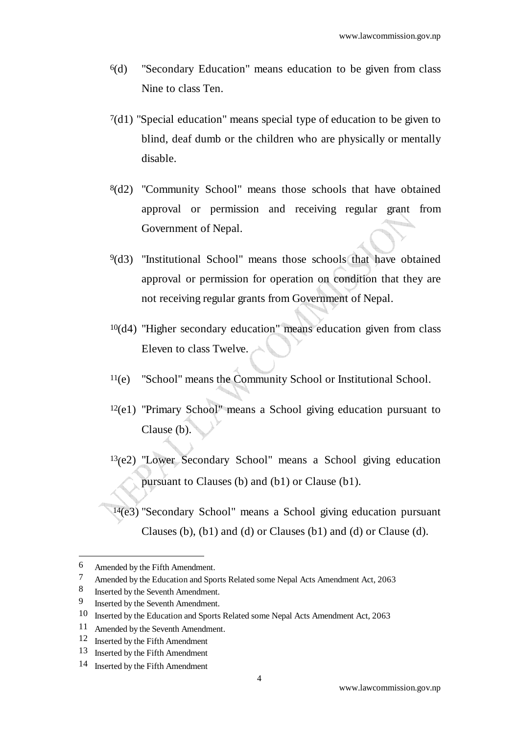- 6(d) "Secondary Education" means education to be given from class Nine to class Ten.
- 7(d1) "Special education" means special type of education to be given to blind, deaf dumb or the children who are physically or mentally disable.
- 8(d2) "Community School" means those schools that have obtained approval or permission and receiving regular grant from Government of Nepal.
- 9(d3) "Institutional School" means those schools that have obtained approval or permission for operation on condition that they are not receiving regular grants from Government of Nepal.
- 10(d4) "Higher secondary education" means education given from class Eleven to class Twelve.
- 11(e) "School" means the Community School or Institutional School.
- 12(e1) "Primary School" means a School giving education pursuant to Clause (b).
- $13$ (e2) "Lower Secondary School" means a School giving education pursuant to Clauses (b) and (b1) or Clause (b1).

14(e3) "Secondary School" means a School giving education pursuant Clauses (b), (b1) and (d) or Clauses (b1) and (d) or Clause (d).

j

<sup>6</sup> Amended by the Fifth Amendment.

<sup>7</sup> Amended by the Education and Sports Related some Nepal Acts Amendment Act, 2063

<sup>8</sup> Inserted by the Seventh Amendment.

<sup>9</sup> Inserted by the Seventh Amendment.

<sup>10</sup> Inserted by the Education and Sports Related some Nepal Acts Amendment Act, 2063

<sup>11</sup> Amended by the Seventh Amendment.

<sup>12</sup> Inserted by the Fifth Amendment

<sup>13</sup> Inserted by the Fifth Amendment

<sup>14</sup> Inserted by the Fifth Amendment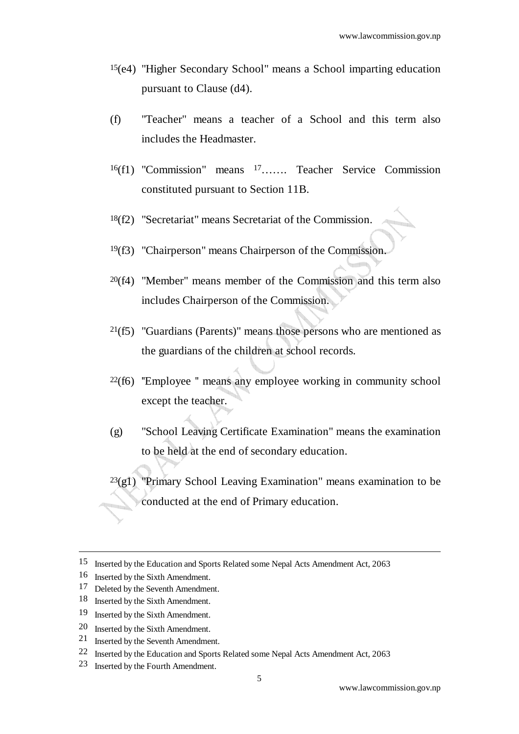- 15(e4) "Higher Secondary School" means a School imparting education pursuant to Clause (d4).
- (f) "Teacher" means a teacher of a School and this term also includes the Headmaster.
- 16(f1) "Commission" means 17……. Teacher Service Commission constituted pursuant to Section 11B.
- 18(f2) "Secretariat" means Secretariat of the Commission.
- 19(f3) "Chairperson" means Chairperson of the Commission.
- 20(f4) "Member" means member of the Commission and this term also includes Chairperson of the Commission.
- $21(f5)$  "Guardians (Parents)" means those persons who are mentioned as the guardians of the children at school records.
- $22(f6)$  "Employee " means any employee working in community school except the teacher.
- (g) "School Leaving Certificate Examination" means the examination to be held at the end of secondary education.
- $^{23}$ (g1) "Primary School Leaving Examination" means examination to be conducted at the end of Primary education.

- 19 Inserted by the Sixth Amendment.
- 20 Inserted by the Sixth Amendment.
- 21 Inserted by the Seventh Amendment.
- 22 Inserted by the Education and Sports Related some Nepal Acts Amendment Act, 2063
- 23 Inserted by the Fourth Amendment.

<sup>15</sup> Inserted by the Education and Sports Related some Nepal Acts Amendment Act, 2063

<sup>16</sup> Inserted by the Sixth Amendment.

<sup>17</sup> Deleted by the Seventh Amendment.

<sup>18</sup> Inserted by the Sixth Amendment.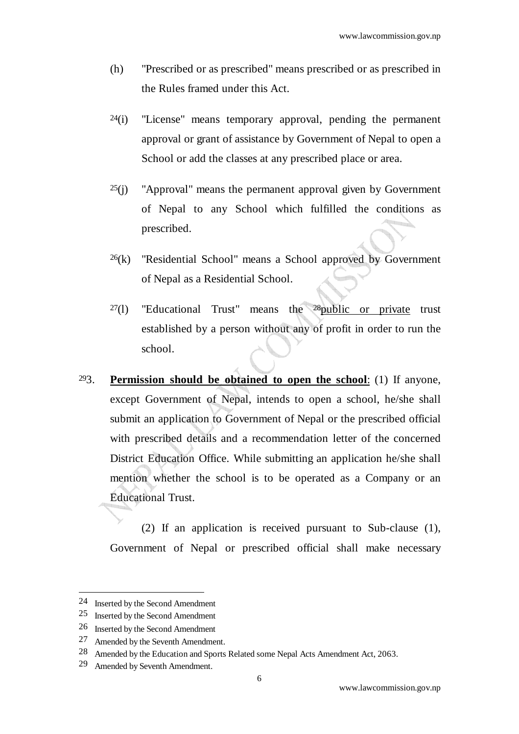- (h) "Prescribed or as prescribed" means prescribed or as prescribed in the Rules framed under this Act.
- $24(i)$  "License" means temporary approval, pending the permanent approval or grant of assistance by Government of Nepal to open a School or add the classes at any prescribed place or area.
- $25(i)$  "Approval" means the permanent approval given by Government of Nepal to any School which fulfilled the conditions as prescribed.
- $^{26}$ (k) "Residential School" means a School approved by Government of Nepal as a Residential School.
- $27(1)$  "Educational Trust" means the  $28$ public or private trust established by a person without any of profit in order to run the school.
- 293. **Permission should be obtained to open the school**: (1) If anyone, except Government of Nepal, intends to open a school, he/she shall submit an application to Government of Nepal or the prescribed official with prescribed details and a recommendation letter of the concerned District Education Office. While submitting an application he/she shall mention whether the school is to be operated as a Company or an Educational Trust.

 (2) If an application is received pursuant to Sub-clause (1), Government of Nepal or prescribed official shall make necessary

<sup>24</sup> Inserted by the Second Amendment

<sup>25</sup> Inserted by the Second Amendment

<sup>26</sup> Inserted by the Second Amendment

<sup>27</sup> Amended by the Seventh Amendment.

<sup>28</sup> Amended by the Education and Sports Related some Nepal Acts Amendment Act, 2063.

<sup>29</sup> Amended by Seventh Amendment.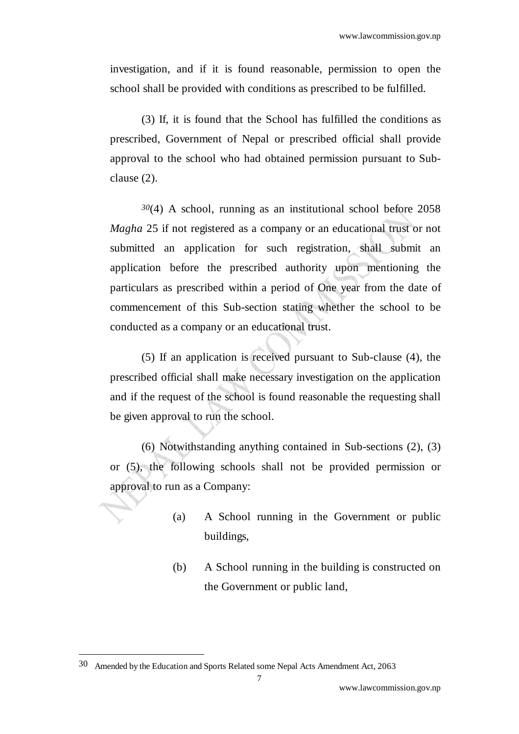investigation, and if it is found reasonable, permission to open the school shall be provided with conditions as prescribed to be fulfilled*.* 

 (3) If, it is found that the School has fulfilled the conditions as prescribed, Government of Nepal or prescribed official shall provide approval to the school who had obtained permission pursuant to Subclause (2).

*30*(4) A school, running as an institutional school before 2058 *Magha* 25 if not registered as a company or an educational trust or not submitted an application for such registration, shall submit an application before the prescribed authority upon mentioning the particulars as prescribed within a period of One year from the date of commencement of this Sub-section stating whether the school to be conducted as a company or an educational trust.

 (5) If an application is received pursuant to Sub-clause (4), the prescribed official shall make necessary investigation on the application and if the request of the school is found reasonable the requesting shall be given approval to run the school.

 (6) Notwithstanding anything contained in Sub-sections (2), (3) or (5), the following schools shall not be provided permission or approval to run as a Company:

- (a) A School running in the Government or public buildings,
- (b) A School running in the building is constructed on the Government or public land,

<sup>30</sup> Amended by the Education and Sports Related some Nepal Acts Amendment Act, 2063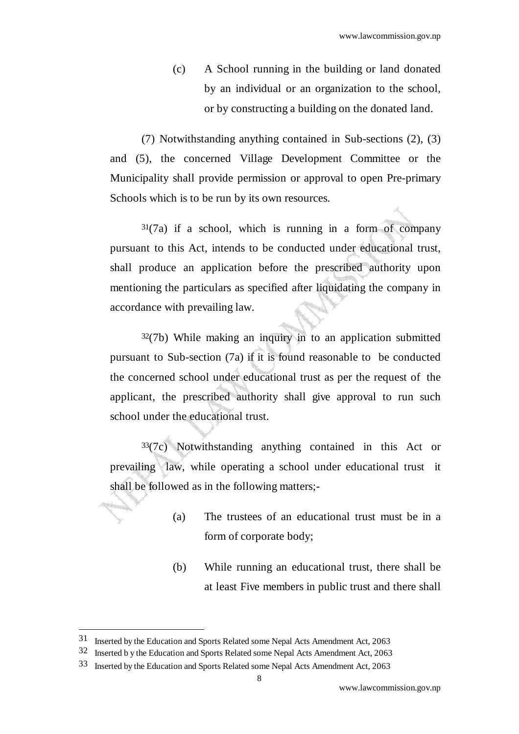(c) A School running in the building or land donated by an individual or an organization to the school, or by constructing a building on the donated land.

 (7) Notwithstanding anything contained in Sub-sections (2), (3) and (5), the concerned Village Development Committee or the Municipality shall provide permission or approval to open Pre-primary Schools which is to be run by its own resources.

 $31(7a)$  if a school, which is running in a form of company pursuant to this Act, intends to be conducted under educational trust, shall produce an application before the prescribed authority upon mentioning the particulars as specified after liquidating the company in accordance with prevailing law.

 $32(7b)$  While making an inquiry in to an application submitted pursuant to Sub-section (7a) if it is found reasonable to be conducted the concerned school under educational trust as per the request of the applicant, the prescribed authority shall give approval to run such school under the educational trust.

 $33(7c)$  Notwithstanding anything contained in this Act or prevailing law, while operating a school under educational trust it shall be followed as in the following matters;-

- (a) The trustees of an educational trust must be in a form of corporate body;
- (b) While running an educational trust, there shall be at least Five members in public trust and there shall

<sup>31</sup> Inserted by the Education and Sports Related some Nepal Acts Amendment Act, 2063

<sup>32</sup> Inserted b y the Education and Sports Related some Nepal Acts Amendment Act, 2063

<sup>33</sup> Inserted by the Education and Sports Related some Nepal Acts Amendment Act, 2063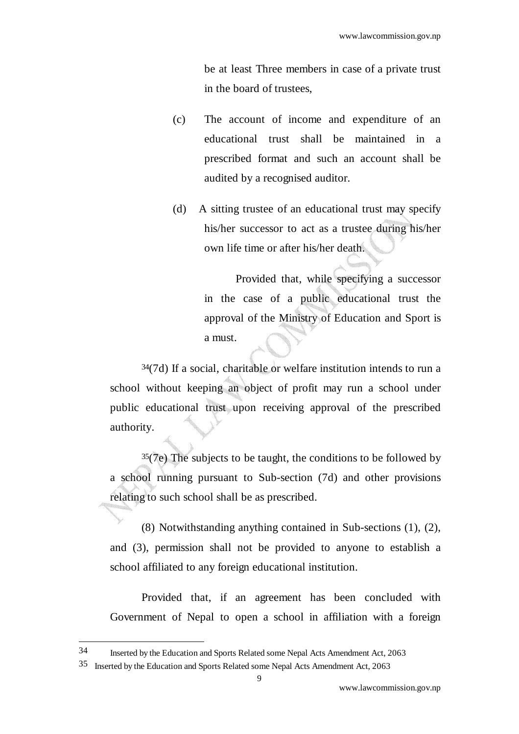be at least Three members in case of a private trust in the board of trustees,

- (c) The account of income and expenditure of an educational trust shall be maintained in a prescribed format and such an account shall be audited by a recognised auditor.
- (d) A sitting trustee of an educational trust may specify his/her successor to act as a trustee during his/her own life time or after his/her death.

Provided that, while specifying a successor in the case of a public educational trust the approval of the Ministry of Education and Sport is a must.

34(7d) If a social, charitable or welfare institution intends to run a school without keeping an object of profit may run a school under public educational trust upon receiving approval of the prescribed authority.

 $35(7e)$  The subjects to be taught, the conditions to be followed by a school running pursuant to Sub-section (7d) and other provisions relating to such school shall be as prescribed.

(8) Notwithstanding anything contained in Sub-sections (1), (2), and (3), permission shall not be provided to anyone to establish a school affiliated to any foreign educational institution.

Provided that, if an agreement has been concluded with Government of Nepal to open a school in affiliation with a foreign

<sup>34</sup> Inserted by the Education and Sports Related some Nepal Acts Amendment Act, 2063

<sup>35</sup> Inserted by the Education and Sports Related some Nepal Acts Amendment Act, 2063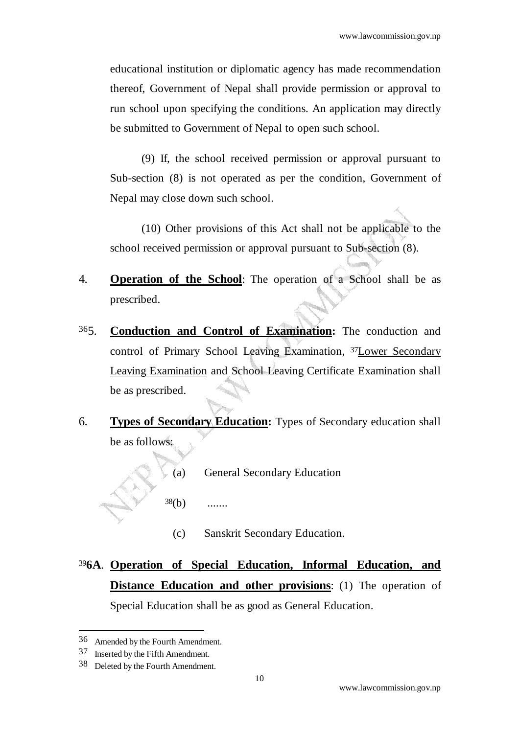educational institution or diplomatic agency has made recommendation thereof, Government of Nepal shall provide permission or approval to run school upon specifying the conditions. An application may directly be submitted to Government of Nepal to open such school.

 (9) If, the school received permission or approval pursuant to Sub-section (8) is not operated as per the condition, Government of Nepal may close down such school.

 (10) Other provisions of this Act shall not be applicable to the school received permission or approval pursuant to Sub-section (8).

- 4. **Operation of the School**: The operation of a School shall be as prescribed.
- 365. **Conduction and Control of Examination:** The conduction and control of Primary School Leaving Examination, 37Lower Secondary Leaving Examination and School Leaving Certificate Examination shall be as prescribed.
- 6. **Types of Secondary Education:** Types of Secondary education shall be as follows:
	- (a) General Secondary Education
	- $38(b)$  .......
		- (c) Sanskrit Secondary Education.
- <sup>39</sup>**6A**.**Operation of Special Education, Informal Education, and Distance Education and other provisions**: (1) The operation of Special Education shall be as good as General Education.

<sup>36</sup> Amended by the Fourth Amendment.

<sup>37</sup> Inserted by the Fifth Amendment.

<sup>38</sup> Deleted by the Fourth Amendment.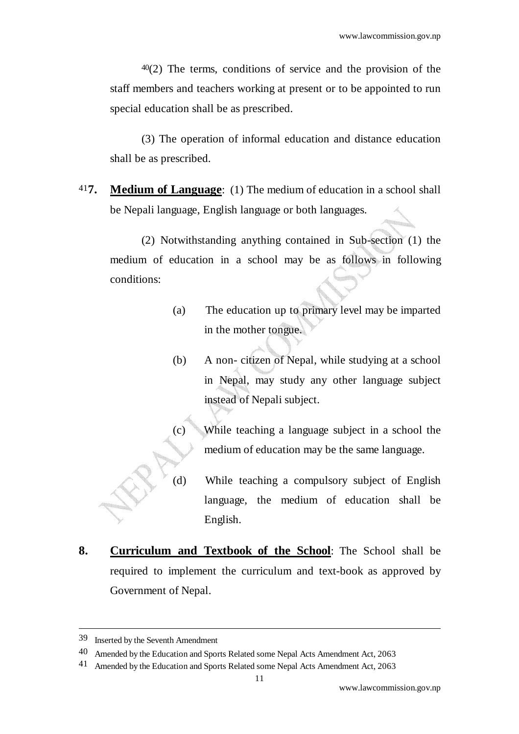$40(2)$  The terms, conditions of service and the provision of the staff members and teachers working at present or to be appointed to run special education shall be as prescribed.

 (3) The operation of informal education and distance education shall be as prescribed.

41**7. Medium of Language**: (1) The medium of education in a school shall be Nepali language, English language or both languages.

 (2) Notwithstanding anything contained in Sub-section (1) the medium of education in a school may be as follows in following conditions:

- (a) The education up to primary level may be imparted in the mother tongue.
- (b) A non- citizen of Nepal, while studying at a school in Nepal, may study any other language subject instead of Nepali subject.
- (c) While teaching a language subject in a school the medium of education may be the same language.
- (d) While teaching a compulsory subject of English language, the medium of education shall be English.
- **8. Curriculum and Textbook of the School**: The School shall be required to implement the curriculum and text-book as approved by Government of Nepal.

<sup>39</sup> Inserted by the Seventh Amendment

<sup>40</sup> Amended by the Education and Sports Related some Nepal Acts Amendment Act, 2063

<sup>41</sup> Amended by the Education and Sports Related some Nepal Acts Amendment Act, 2063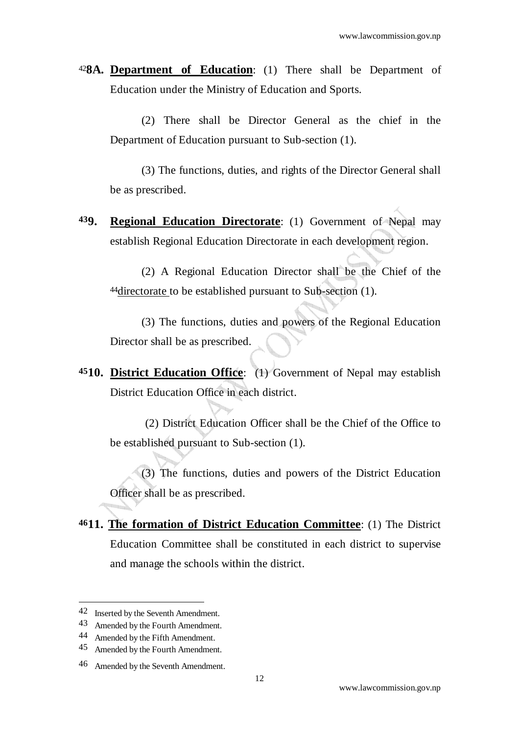<sup>42</sup>**8A. Department of Education**: (1) There shall be Department of Education under the Ministry of Education and Sports.

(2) There shall be Director General as the chief in the Department of Education pursuant to Sub-section (1).

(3) The functions, duties, and rights of the Director General shall be as prescribed.

**439. Regional Education Directorate**: (1) Government of Nepal may establish Regional Education Directorate in each development region.

(2) A Regional Education Director shall be the Chief of the 44directorate to be established pursuant to Sub-section (1).

(3) The functions, duties and powers of the Regional Education Director shall be as prescribed.

**4510. District Education Office**: (1) Government of Nepal may establish District Education Office in each district.

(2) District Education Officer shall be the Chief of the Office to be established pursuant to Sub-section (1).

(3) The functions, duties and powers of the District Education Officer shall be as prescribed.

**4611. The formation of District Education Committee**: (1) The District Education Committee shall be constituted in each district to supervise and manage the schools within the district.

<sup>42</sup> Inserted by the Seventh Amendment.

<sup>43</sup> Amended by the Fourth Amendment.

<sup>44</sup> Amended by the Fifth Amendment.

<sup>45</sup> Amended by the Fourth Amendment.

<sup>46</sup> Amended by the Seventh Amendment.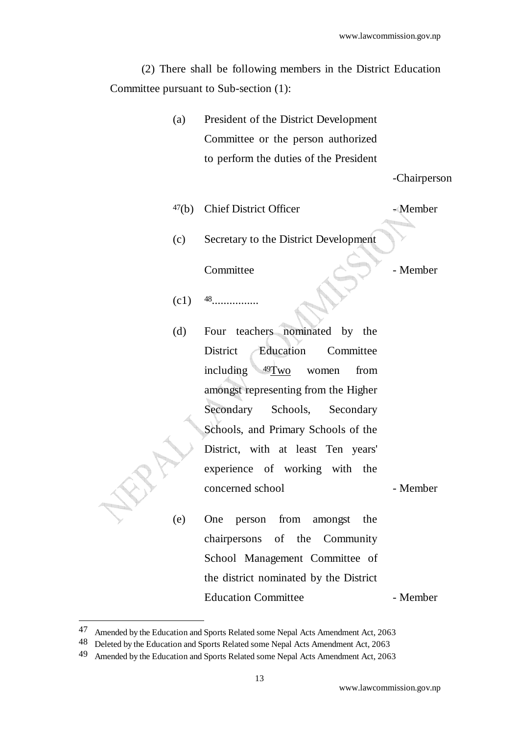(2) There shall be following members in the District Education Committee pursuant to Sub-section (1):

> (a) President of the District Development Committee or the person authorized to perform the duties of the President

> > -Chairperson

 $47(b)$  Chief District Officer - Member

(c) Secretary to the District Development

Committee - Member

- (c1) 48................
- (d) Four teachers nominated by the District Education Committee including 49Two women from amongst representing from the Higher Secondary Schools, Secondary Schools, and Primary Schools of the District, with at least Ten years' experience of working with the concerned school - Member

(e) One person from amongst the chairpersons of the Community School Management Committee of the district nominated by the District Education Committee - Member

<sup>47</sup> Amended by the Education and Sports Related some Nepal Acts Amendment Act, 2063

<sup>48</sup> Deleted by the Education and Sports Related some Nepal Acts Amendment Act, 2063

<sup>49</sup> Amended by the Education and Sports Related some Nepal Acts Amendment Act, 2063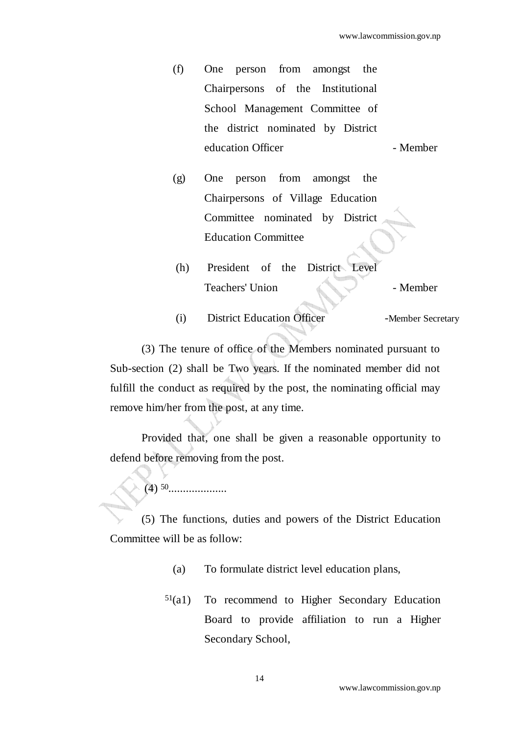- (f) One person from amongst the Chairpersons of the Institutional School Management Committee of the district nominated by District education Officer **- Member**
- (g) One person from amongst the Chairpersons of Village Education Committee nominated by District Education Committee
- (h) President of the District Level Teachers' Union **All All All All All All All All Member**
- (i) District Education Officer -Member Secretary

(3) The tenure of office of the Members nominated pursuant to Sub-section (2) shall be Two years. If the nominated member did not fulfill the conduct as required by the post, the nominating official may remove him/her from the post, at any time.

Provided that, one shall be given a reasonable opportunity to defend before removing from the post.

(4) 50....................

(5) The functions, duties and powers of the District Education Committee will be as follow:

- (a) To formulate district level education plans,
- 51(a1) To recommend to Higher Secondary Education Board to provide affiliation to run a Higher Secondary School,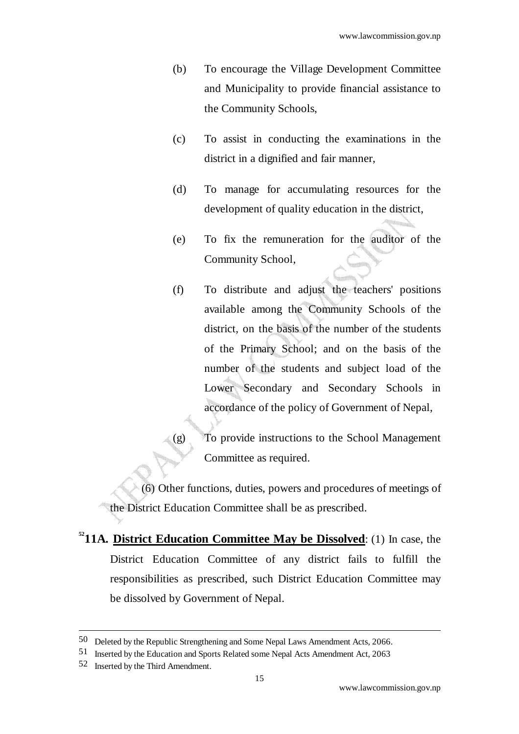- (b) To encourage the Village Development Committee and Municipality to provide financial assistance to the Community Schools,
- (c) To assist in conducting the examinations in the district in a dignified and fair manner,
- (d) To manage for accumulating resources for the development of quality education in the district,
- (e) To fix the remuneration for the auditor of the Community School,
- (f) To distribute and adjust the teachers' positions available among the Community Schools of the district, on the basis of the number of the students of the Primary School; and on the basis of the number of the students and subject load of the Lower Secondary and Secondary Schools in accordance of the policy of Government of Nepal,
- (g) To provide instructions to the School Management Committee as required.

(6) Other functions, duties, powers and procedures of meetings of the District Education Committee shall be as prescribed.

**<sup>52</sup>11A. District Education Committee May be Dissolved**: (1) In case, the District Education Committee of any district fails to fulfill the responsibilities as prescribed, such District Education Committee may be dissolved by Government of Nepal.

<sup>50</sup> Deleted by the Republic Strengthening and Some Nepal Laws Amendment Acts, 2066.

<sup>51</sup> Inserted by the Education and Sports Related some Nepal Acts Amendment Act, 2063

<sup>52</sup> Inserted by the Third Amendment.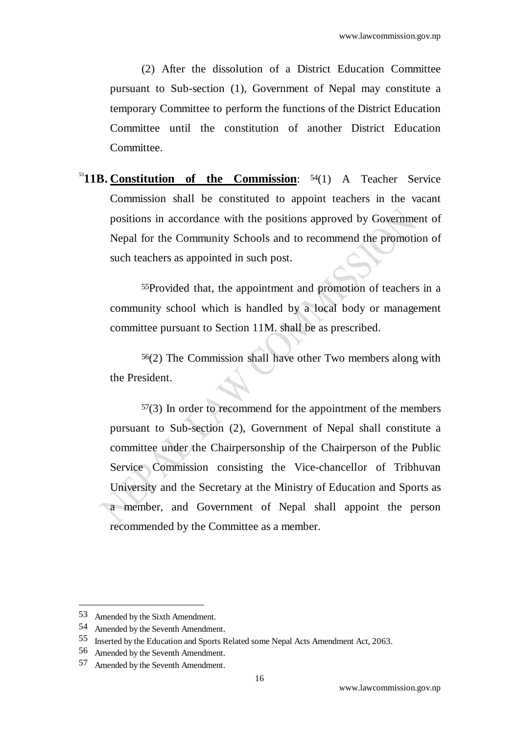(2) After the dissolution of a District Education Committee pursuant to Sub-section (1), Government of Nepal may constitute a temporary Committee to perform the functions of the District Education Committee until the constitution of another District Education Committee.

<sup>53</sup>**11B. Constitution of the Commission**: 54(1) A Teacher Service Commission shall be constituted to appoint teachers in the vacant positions in accordance with the positions approved by Government of Nepal for the Community Schools and to recommend the promotion of such teachers as appointed in such post.

55Provided that, the appointment and promotion of teachers in a community school which is handled by a local body or management committee pursuant to Section 11M. shall be as prescribed.

56(2) The Commission shall have other Two members along with the President.

 $57(3)$  In order to recommend for the appointment of the members pursuant to Sub-section (2), Government of Nepal shall constitute a committee under the Chairpersonship of the Chairperson of the Public Service Commission consisting the Vice-chancellor of Tribhuvan University and the Secretary at the Ministry of Education and Sports as a member, and Government of Nepal shall appoint the person recommended by the Committee as a member.

<sup>53</sup> Amended by the Sixth Amendment.

<sup>54</sup> Amended by the Seventh Amendment.

<sup>55</sup> Inserted by the Education and Sports Related some Nepal Acts Amendment Act, 2063.

<sup>56</sup> Amended by the Seventh Amendment.

<sup>57</sup> Amended by the Seventh Amendment.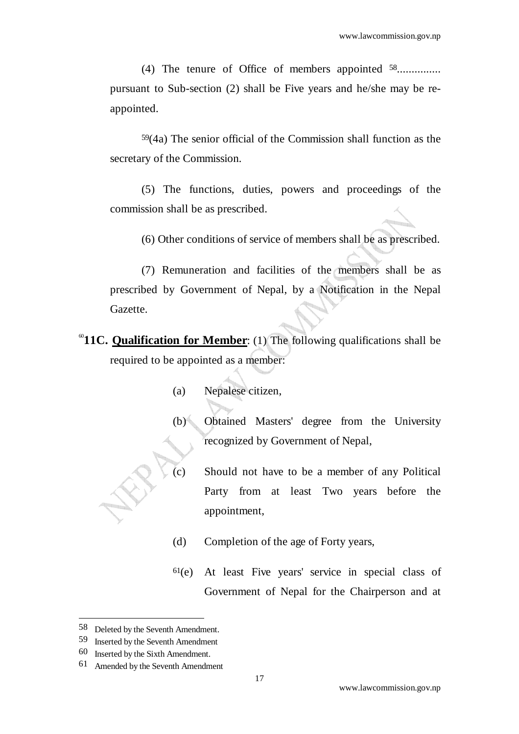(4) The tenure of Office of members appointed <sup>58</sup>................ pursuant to Sub-section (2) shall be Five years and he/she may be reappointed.

59(4a) The senior official of the Commission shall function as the secretary of the Commission*.* 

(5) The functions, duties, powers and proceedings of the commission shall be as prescribed.

(6) Other conditions of service of members shall be as prescribed.

 (7) Remuneration and facilities of the members shall be as prescribed by Government of Nepal, by a Notification in the Nepal Gazette.

- <sup>60</sup>11C. Qualification for Member: (1) The following qualifications shall be required to be appointed as a member:
	- (a) Nepalese citizen,
	- (b) Obtained Masters' degree from the University recognized by Government of Nepal,
	- (c) Should not have to be a member of any Political Party from at least Two years before the appointment,
	- (d) Completion of the age of Forty years,
	- 61(e) At least Five years' service in special class of Government of Nepal for the Chairperson and at

<sup>58</sup> Deleted by the Seventh Amendment.

<sup>59</sup> Inserted by the Seventh Amendment

<sup>60</sup> Inserted by the Sixth Amendment.

<sup>61</sup> Amended by the Seventh Amendment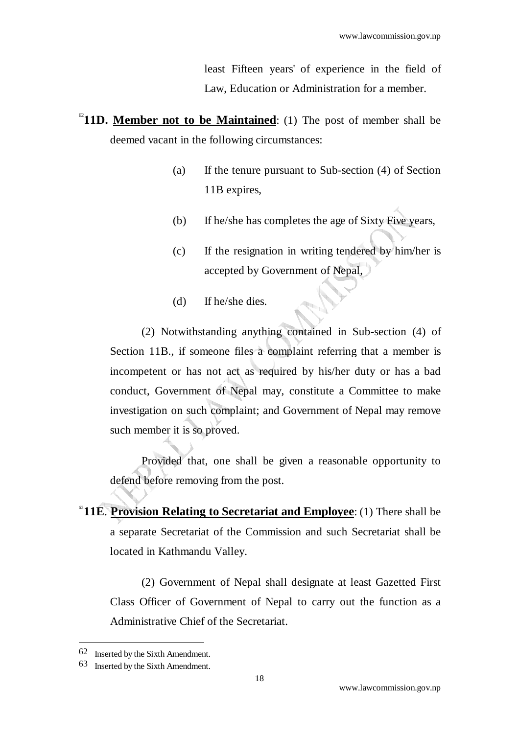least Fifteen years' of experience in the field of Law, Education or Administration for a member.

- $^{62}$ **11D. Member not to be Maintained**: (1) The post of member shall be deemed vacant in the following circumstances:
	- (a) If the tenure pursuant to Sub-section (4) of Section 11B expires,
	- (b) If he/she has completes the age of Sixty Five years,
	- (c) If the resignation in writing tendered by him/her is accepted by Government of Nepal,
	- (d) If he/she dies.

 (2) Notwithstanding anything contained in Sub-section (4) of Section 11B., if someone files a complaint referring that a member is incompetent or has not act as required by his/her duty or has a bad conduct, Government of Nepal may, constitute a Committee to make investigation on such complaint; and Government of Nepal may remove such member it is so proved.

Provided that, one shall be given a reasonable opportunity to defend before removing from the post.

<sup>63</sup>11E. **Provision Relating to Secretariat and Employee**: (1) There shall be a separate Secretariat of the Commission and such Secretariat shall be located in Kathmandu Valley.

 (2) Government of Nepal shall designate at least Gazetted First Class Officer of Government of Nepal to carry out the function as a Administrative Chief of the Secretariat.

<sup>62</sup> Inserted by the Sixth Amendment.

<sup>63</sup> Inserted by the Sixth Amendment.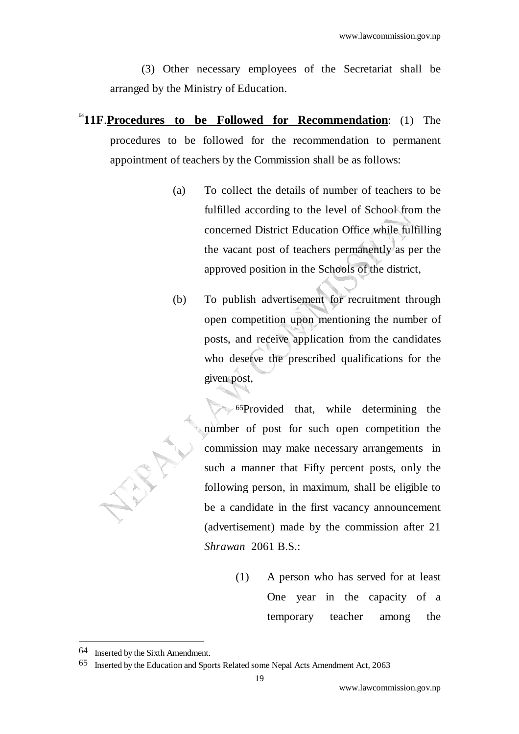(3) Other necessary employees of the Secretariat shall be arranged by the Ministry of Education.

- <sup>64</sup>**11F**.**Procedures to be Followed for Recommendation**: (1) The procedures to be followed for the recommendation to permanent appointment of teachers by the Commission shall be as follows:
	- (a) To collect the details of number of teachers to be fulfilled according to the level of School from the concerned District Education Office while fulfilling the vacant post of teachers permanently as per the approved position in the Schools of the district,
	- (b) To publish advertisement for recruitment through open competition upon mentioning the number of posts, and receive application from the candidates who deserve the prescribed qualifications for the given post,

65Provided that, while determining the number of post for such open competition the commission may make necessary arrangements in such a manner that Fifty percent posts, only the following person, in maximum, shall be eligible to be a candidate in the first vacancy announcement (advertisement) made by the commission after 21 *Shrawan* 2061 B.S.:

> (1) A person who has served for at least One year in the capacity of a temporary teacher among the

<sup>64</sup> Inserted by the Sixth Amendment.

<sup>65</sup> Inserted by the Education and Sports Related some Nepal Acts Amendment Act, 2063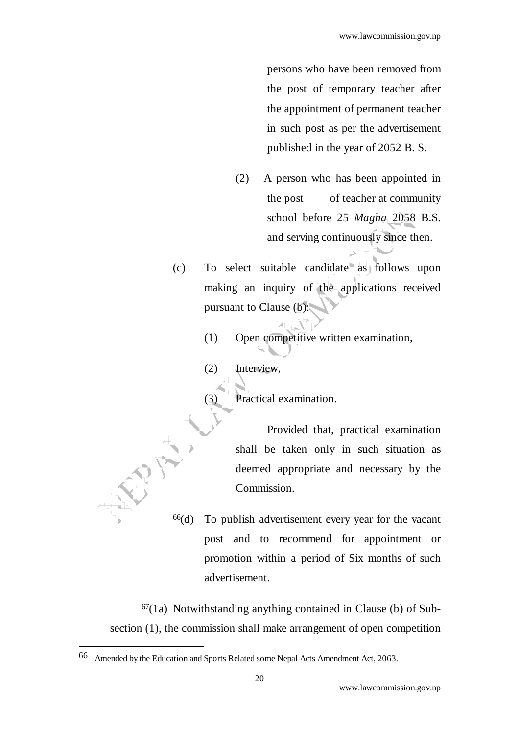persons who have been removed from the post of temporary teacher after the appointment of permanent teacher in such post as per the advertisement published in the year of 2052 B. S.

- (2) A person who has been appointed in the post of teacher at community school before 25 *Magha* 2058 B.S. and serving continuously since then.
- (c) To select suitable candidate as follows upon making an inquiry of the applications received pursuant to Clause (b):
	- (1) Open competitive written examination,

(2) Interview,

(3) Practical examination.

 Provided that, practical examination shall be taken only in such situation as deemed appropriate and necessary by the Commission.

66(d) To publish advertisement every year for the vacant post and to recommend for appointment or promotion within a period of Six months of such advertisement.

 $67(1a)$  Notwithstanding anything contained in Clause (b) of Subsection (1), the commission shall make arrangement of open competition

<sup>66</sup> Amended by the Education and Sports Related some Nepal Acts Amendment Act, 2063.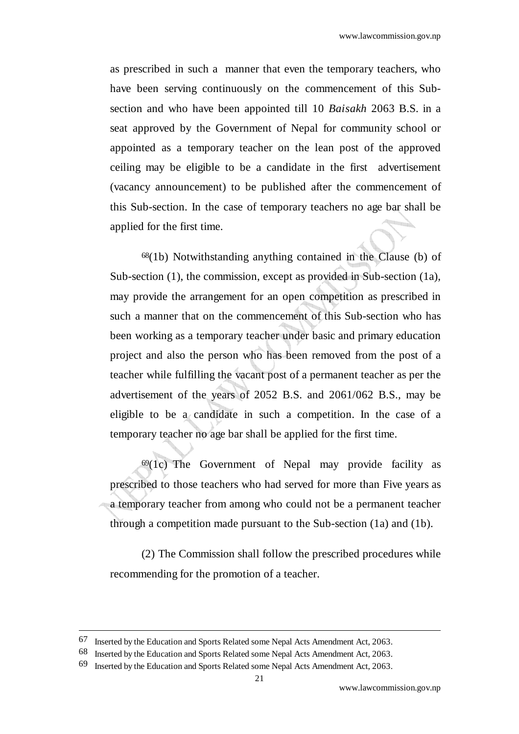as prescribed in such a manner that even the temporary teachers, who have been serving continuously on the commencement of this Subsection and who have been appointed till 10 *Baisakh* 2063 B.S. in a seat approved by the Government of Nepal for community school or appointed as a temporary teacher on the lean post of the approved ceiling may be eligible to be a candidate in the first advertisement (vacancy announcement) to be published after the commencement of this Sub-section. In the case of temporary teachers no age bar shall be applied for the first time.

 $68(1b)$  Notwithstanding anything contained in the Clause (b) of Sub-section (1), the commission, except as provided in Sub-section (1a), may provide the arrangement for an open competition as prescribed in such a manner that on the commencement of this Sub-section who has been working as a temporary teacher under basic and primary education project and also the person who has been removed from the post of a teacher while fulfilling the vacant post of a permanent teacher as per the advertisement of the years of 2052 B.S. and 2061/062 B.S., may be eligible to be a candidate in such a competition. In the case of a temporary teacher no age bar shall be applied for the first time.

 $69(1c)$  The Government of Nepal may provide facility as prescribed to those teachers who had served for more than Five years as a temporary teacher from among who could not be a permanent teacher through a competition made pursuant to the Sub-section (1a) and (1b).

 (2) The Commission shall follow the prescribed procedures while recommending for the promotion of a teacher.

<sup>67</sup> Inserted by the Education and Sports Related some Nepal Acts Amendment Act, 2063.

<sup>68</sup> Inserted by the Education and Sports Related some Nepal Acts Amendment Act, 2063.

<sup>69</sup> Inserted by the Education and Sports Related some Nepal Acts Amendment Act, 2063.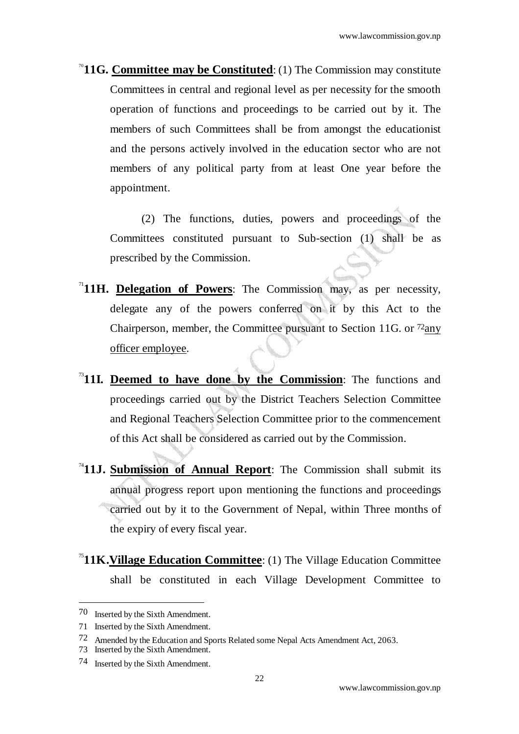<sup>70</sup>**11G. Committee may be Constituted**: (1) The Commission may constitute Committees in central and regional level as per necessity for the smooth operation of functions and proceedings to be carried out by it. The members of such Committees shall be from amongst the educationist and the persons actively involved in the education sector who are not members of any political party from at least One year before the appointment.

 (2) The functions, duties, powers and proceedings of the Committees constituted pursuant to Sub-section (1) shall be as prescribed by the Commission.

- $11$ **H. Delegation of Powers**: The Commission may, as per necessity, delegate any of the powers conferred on it by this Act to the Chairperson, member, the Committee pursuant to Section 11G. or 72any officer employee.
- <sup>73</sup>**11I. Deemed to have done by the Commission**: The functions and proceedings carried out by the District Teachers Selection Committee and Regional Teachers Selection Committee prior to the commencement of this Act shall be considered as carried out by the Commission.
- <sup>4</sup>**11J. Submission of Annual Report**: The Commission shall submit its annual progress report upon mentioning the functions and proceedings carried out by it to the Government of Nepal, within Three months of the expiry of every fiscal year.
- <sup>75</sup>**11K.Village Education Committee**: (1) The Village Education Committee shall be constituted in each Village Development Committee to

<sup>70</sup> Inserted by the Sixth Amendment.

<sup>71</sup> Inserted by the Sixth Amendment.

<sup>72</sup> Amended by the Education and Sports Related some Nepal Acts Amendment Act, 2063.

<sup>73</sup> Inserted by the Sixth Amendment.

<sup>74</sup> Inserted by the Sixth Amendment.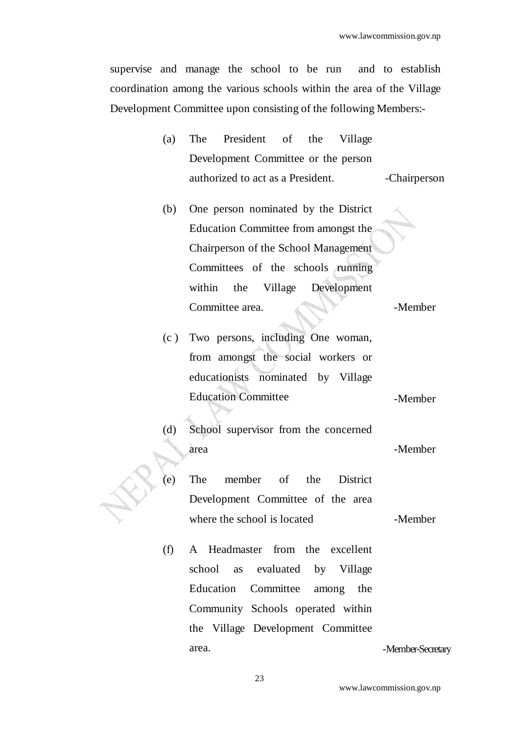supervise and manage the school to be run and to establish coordination among the various schools within the area of the Village Development Committee upon consisting of the following Members:-

| (a) |                                     | The President of the Village |  |  |              |  |
|-----|-------------------------------------|------------------------------|--|--|--------------|--|
|     | Development Committee or the person |                              |  |  |              |  |
|     | authorized to act as a President.   |                              |  |  | -Chairperson |  |

(b) One person nominated by the District Education Committee from amongst the Chairperson of the School Management Committees of the schools running within the Village Development Committee area. A subset of the Member

(c ) Two persons, including One woman, from amongst the social workers or educationists nominated by Village Education Committee -Member

- (d) School supervisor from the concerned area - Member
- (e) The member of the District Development Committee of the area where the school is located -Member
	-
- (f) A Headmaster from the excellent school as evaluated by Village Education Committee among the Community Schools operated within the Village Development Committee area. **-Member-Secretary**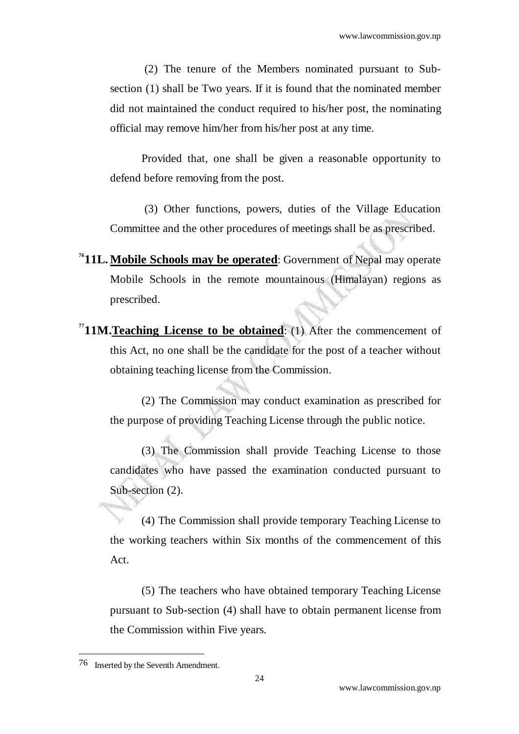(2) The tenure of the Members nominated pursuant to Subsection (1) shall be Two years. If it is found that the nominated member did not maintained the conduct required to his/her post, the nominating official may remove him/her from his/her post at any time.

Provided that, one shall be given a reasonable opportunity to defend before removing from the post.

 (3) Other functions, powers, duties of the Village Education Committee and the other procedures of meetings shall be as prescribed.

- <sup>76</sup>**11L. Mobile Schools may be operated**: Government of Nepal may operate Mobile Schools in the remote mountainous (Himalayan) regions as prescribed.
- **<sup>77</sup>11M.Teaching License to be obtained**: (1) After the commencement of this Act, no one shall be the candidate for the post of a teacher without obtaining teaching license from the Commission.

(2) The Commission may conduct examination as prescribed for the purpose of providing Teaching License through the public notice.

(3) The Commission shall provide Teaching License to those candidates who have passed the examination conducted pursuant to Sub-section  $(2)$ .

(4) The Commission shall provide temporary Teaching License to the working teachers within Six months of the commencement of this Act.

(5) The teachers who have obtained temporary Teaching License pursuant to Sub-section (4) shall have to obtain permanent license from the Commission within Five years.

<sup>76</sup> Inserted by the Seventh Amendment.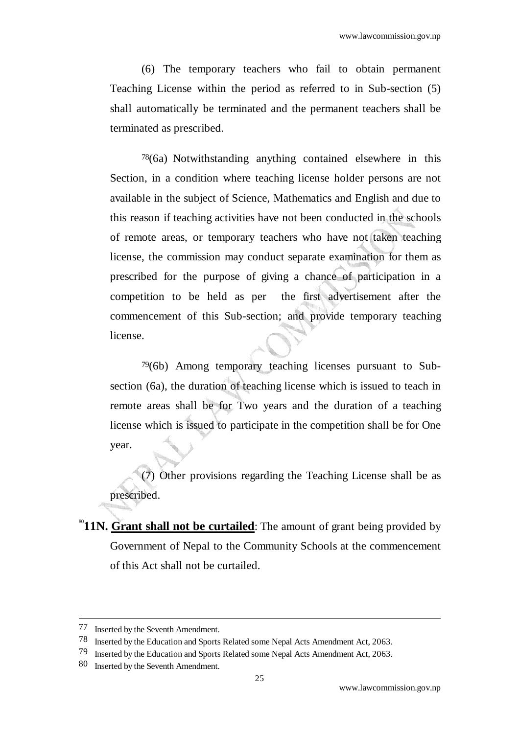(6) The temporary teachers who fail to obtain permanent Teaching License within the period as referred to in Sub-section (5) shall automatically be terminated and the permanent teachers shall be terminated as prescribed.

78(6a) Notwithstanding anything contained elsewhere in this Section, in a condition where teaching license holder persons are not available in the subject of Science, Mathematics and English and due to this reason if teaching activities have not been conducted in the schools of remote areas, or temporary teachers who have not taken teaching license, the commission may conduct separate examination for them as prescribed for the purpose of giving a chance of participation in a competition to be held as per the first advertisement after the commencement of this Sub-section; and provide temporary teaching license.

79(6b) Among temporary teaching licenses pursuant to Subsection (6a), the duration of teaching license which is issued to teach in remote areas shall be for Two years and the duration of a teaching license which is issued to participate in the competition shall be for One year.

(7) Other provisions regarding the Teaching License shall be as prescribed.

<sup>80</sup>**11N. Grant shall not be curtailed**: The amount of grant being provided by Government of Nepal to the Community Schools at the commencement of this Act shall not be curtailed.

<sup>77</sup> Inserted by the Seventh Amendment.

<sup>78</sup> Inserted by the Education and Sports Related some Nepal Acts Amendment Act, 2063.

<sup>79</sup> Inserted by the Education and Sports Related some Nepal Acts Amendment Act, 2063.

<sup>80</sup> Inserted by the Seventh Amendment.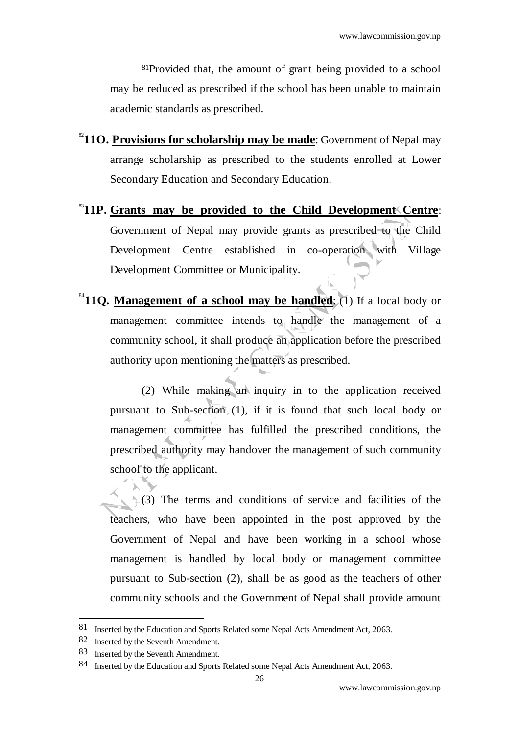81Provided that, the amount of grant being provided to a school may be reduced as prescribed if the school has been unable to maintain academic standards as prescribed.

- <sup>82</sup>11O. Provisions for scholarship may be made: Government of Nepal may arrange scholarship as prescribed to the students enrolled at Lower Secondary Education and Secondary Education.
- <sup>83</sup>**11P. Grants may be provided to the Child Development Centre**: Government of Nepal may provide grants as prescribed to the Child Development Centre established in co-operation with Village Development Committee or Municipality.
- $^{84}$ **11O. Management of a school may be handled:** (1) If a local body or management committee intends to handle the management of a community school, it shall produce an application before the prescribed authority upon mentioning the matters as prescribed.

(2) While making an inquiry in to the application received pursuant to Sub-section (1), if it is found that such local body or management committee has fulfilled the prescribed conditions, the prescribed authority may handover the management of such community school to the applicant.

(3) The terms and conditions of service and facilities of the teachers, who have been appointed in the post approved by the Government of Nepal and have been working in a school whose management is handled by local body or management committee pursuant to Sub-section (2), shall be as good as the teachers of other community schools and the Government of Nepal shall provide amount

<sup>81</sup> Inserted by the Education and Sports Related some Nepal Acts Amendment Act, 2063.

<sup>82</sup> Inserted by the Seventh Amendment.

<sup>83</sup> Inserted by the Seventh Amendment.

<sup>84</sup> Inserted by the Education and Sports Related some Nepal Acts Amendment Act, 2063.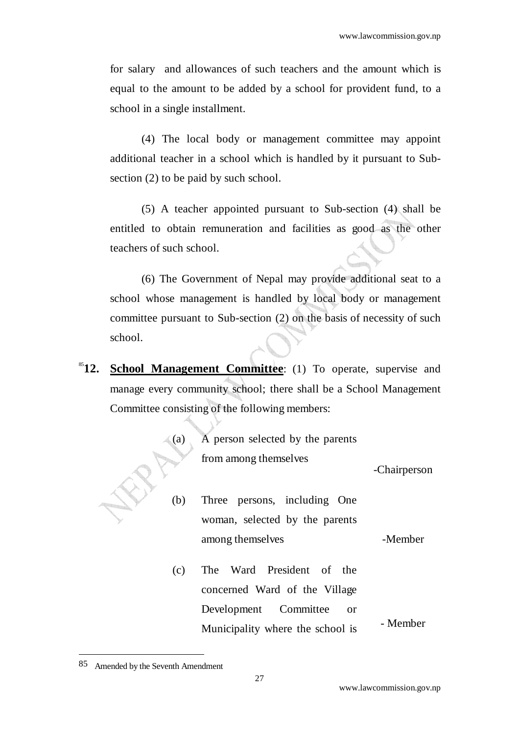for salary and allowances of such teachers and the amount which is equal to the amount to be added by a school for provident fund, to a school in a single installment.

(4) The local body or management committee may appoint additional teacher in a school which is handled by it pursuant to Subsection (2) to be paid by such school.

(5) A teacher appointed pursuant to Sub-section (4) shall be entitled to obtain remuneration and facilities as good as the other teachers of such school.

(6) The Government of Nepal may provide additional seat to a school whose management is handled by local body or management committee pursuant to Sub-section (2) on the basis of necessity of such school.

<sup>85</sup>12. School Management Committee: (1) To operate, supervise and manage every community school; there shall be a School Management Committee consisting of the following members:

| (a) | A person selected by the parents                           |              |
|-----|------------------------------------------------------------|--------------|
|     | from among themselves                                      | -Chairperson |
| (b) | Three persons, including One                               |              |
|     | woman, selected by the parents                             |              |
|     | among themselves                                           | -Member      |
| (c) | The Ward President of the<br>concerned Ward of the Village |              |
|     | Development Committee<br><b>or</b>                         |              |
|     | Municipality where the school is                           | - Member     |

<sup>85</sup> Amended by the Seventh Amendment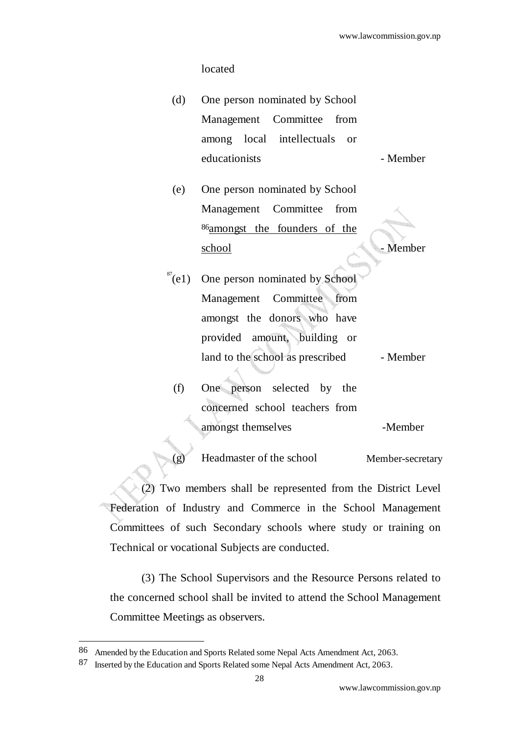#### located

- (d) One person nominated by School Management Committee from among local intellectuals or educationists - Member
- (e) One person nominated by School Management Committee from 86amongst the founders of the school Member

- $87$ (e1) One person nominated by School Management Committee from amongst the donors who have provided amount, building or land to the school as prescribed - Member
- (f) One person selected by the concerned school teachers from amongst themselves Thember

Headmaster of the school Member-secretary

(2) Two members shall be represented from the District Level Federation of Industry and Commerce in the School Management Committees of such Secondary schools where study or training on Technical or vocational Subjects are conducted.

(3) The School Supervisors and the Resource Persons related to the concerned school shall be invited to attend the School Management Committee Meetings as observers.

<sup>86</sup> Amended by the Education and Sports Related some Nepal Acts Amendment Act, 2063.

<sup>87</sup> Inserted by the Education and Sports Related some Nepal Acts Amendment Act, 2063.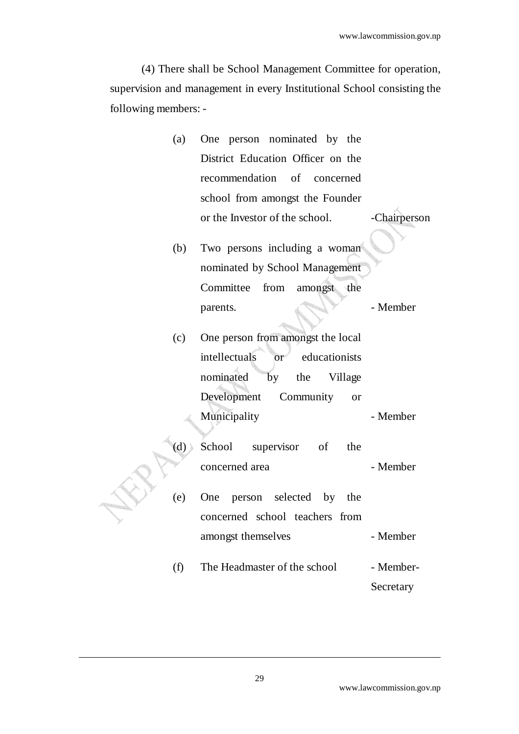(4) There shall be School Management Committee for operation, supervision and management in every Institutional School consisting the following members: -

| (a) One person nominated by the   |              |
|-----------------------------------|--------------|
| District Education Officer on the |              |
| recommendation of concerned       |              |
| school from amongst the Founder   |              |
| or the Investor of the school.    | -Chairperson |

(b) Two persons including a woman nominated by School Management Committee from amongst the parents. **- Member** 

(c) One person from amongst the local intellectuals or educationists nominated by the Village Development Community or Municipality - Member

- (d) School supervisor of the concerned area  $-$  Member (e) One person selected by the concerned school teachers from amongst themselves - Member
	- $(f)$  The Headmaster of the school Member-**Secretary**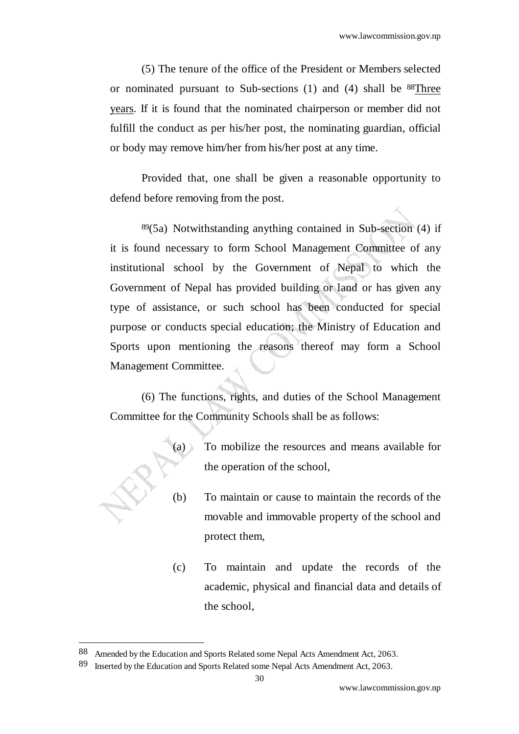(5) The tenure of the office of the President or Members selected or nominated pursuant to Sub-sections (1) and (4) shall be 88Three years. If it is found that the nominated chairperson or member did not fulfill the conduct as per his/her post, the nominating guardian, official or body may remove him/her from his/her post at any time.

Provided that, one shall be given a reasonable opportunity to defend before removing from the post.

 $89(5a)$  Notwithstanding anything contained in Sub-section (4) if it is found necessary to form School Management Committee of any institutional school by the Government of Nepal to which the Government of Nepal has provided building or land or has given any type of assistance, or such school has been conducted for special purpose or conducts special education; the Ministry of Education and Sports upon mentioning the reasons thereof may form a School Management Committee.

(6) The functions, rights, and duties of the School Management Committee for the Community Schools shall be as follows:



- $(a)$  To mobilize the resources and means available for the operation of the school,
- (b) To maintain or cause to maintain the records of the movable and immovable property of the school and protect them,
- (c) To maintain and update the records of the academic, physical and financial data and details of the school,

<sup>88</sup> Amended by the Education and Sports Related some Nepal Acts Amendment Act, 2063.

<sup>89</sup> Inserted by the Education and Sports Related some Nepal Acts Amendment Act, 2063.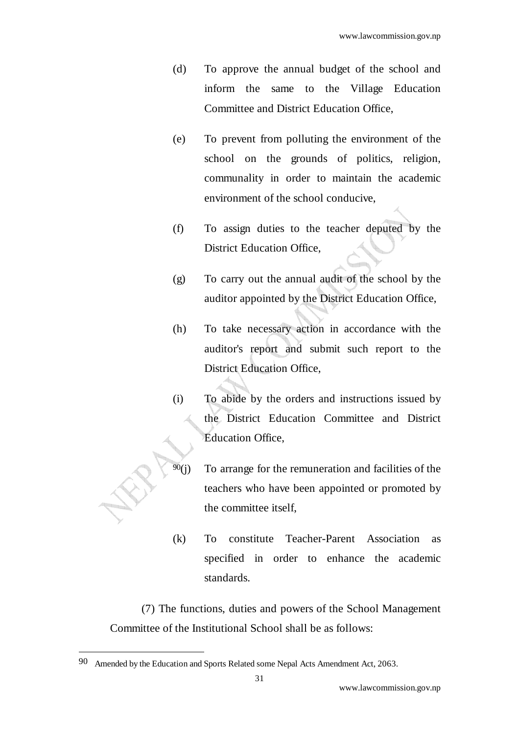- (d) To approve the annual budget of the school and inform the same to the Village Education Committee and District Education Office,
- (e) To prevent from polluting the environment of the school on the grounds of politics, religion, communality in order to maintain the academic environment of the school conducive,
- (f) To assign duties to the teacher deputed by the District Education Office,
- (g) To carry out the annual audit of the school by the auditor appointed by the District Education Office,
- (h) To take necessary action in accordance with the auditor's report and submit such report to the District Education Office,
- (i) To abide by the orders and instructions issued by the District Education Committee and District Education Office,
- $\frac{90}{10}$  To arrange for the remuneration and facilities of the teachers who have been appointed or promoted by the committee itself,
- (k) To constitute Teacher-Parent Association as specified in order to enhance the academic standards.

(7) The functions, duties and powers of the School Management Committee of the Institutional School shall be as follows:

<sup>90</sup> Amended by the Education and Sports Related some Nepal Acts Amendment Act, 2063.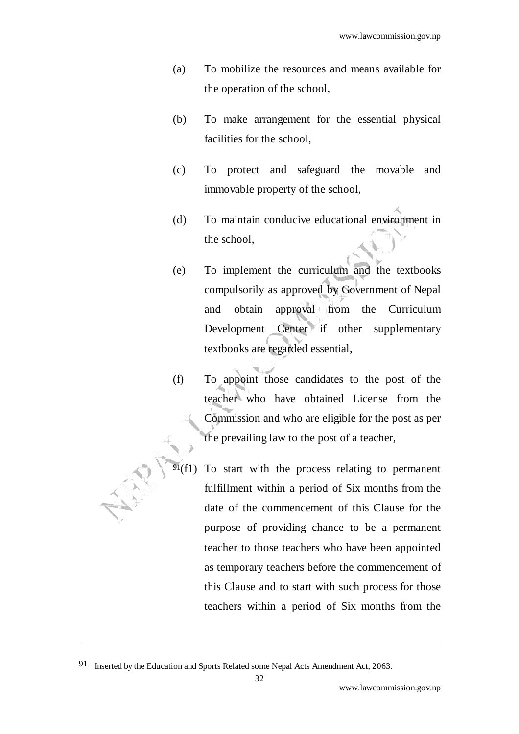- (a) To mobilize the resources and means available for the operation of the school,
- (b) To make arrangement for the essential physical facilities for the school,
- (c) To protect and safeguard the movable and immovable property of the school,
- (d) To maintain conducive educational environment in the school,
- (e) To implement the curriculum and the textbooks compulsorily as approved by Government of Nepal and obtain approval from the Curriculum Development Center if other supplementary textbooks are regarded essential,
- (f) To appoint those candidates to the post of the teacher who have obtained License from the Commission and who are eligible for the post as per the prevailing law to the post of a teacher,
- $91(f1)$  To start with the process relating to permanent fulfillment within a period of Six months from the date of the commencement of this Clause for the purpose of providing chance to be a permanent teacher to those teachers who have been appointed as temporary teachers before the commencement of this Clause and to start with such process for those teachers within a period of Six months from the

<sup>91</sup> Inserted by the Education and Sports Related some Nepal Acts Amendment Act, 2063.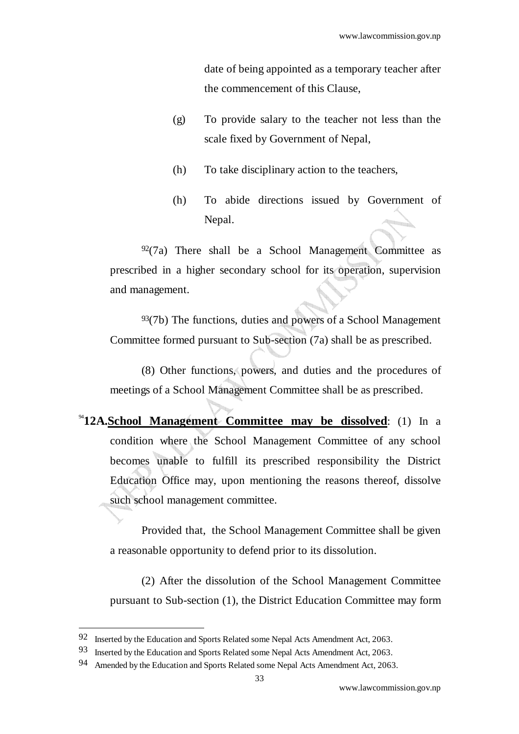date of being appointed as a temporary teacher after the commencement of this Clause,

- (g) To provide salary to the teacher not less than the scale fixed by Government of Nepal,
- (h) To take disciplinary action to the teachers,
- (h) To abide directions issued by Government of Nepal.

 $92(7a)$  There shall be a School Management Committee as prescribed in a higher secondary school for its operation, supervision and management.

 $93(7b)$  The functions, duties and powers of a School Management Committee formed pursuant to Sub-section (7a) shall be as prescribed.

(8) Other functions, powers, and duties and the procedures of meetings of a School Management Committee shall be as prescribed.

<sup>94</sup>**12A.School Management Committee may be dissolved**: (1) In a condition where the School Management Committee of any school becomes unable to fulfill its prescribed responsibility the District Education Office may, upon mentioning the reasons thereof, dissolve such school management committee.

 Provided that, the School Management Committee shall be given a reasonable opportunity to defend prior to its dissolution.

 (2) After the dissolution of the School Management Committee pursuant to Sub-section (1), the District Education Committee may form

<sup>92</sup> Inserted by the Education and Sports Related some Nepal Acts Amendment Act, 2063.

<sup>93</sup> Inserted by the Education and Sports Related some Nepal Acts Amendment Act, 2063.

<sup>94</sup> Amended by the Education and Sports Related some Nepal Acts Amendment Act, 2063.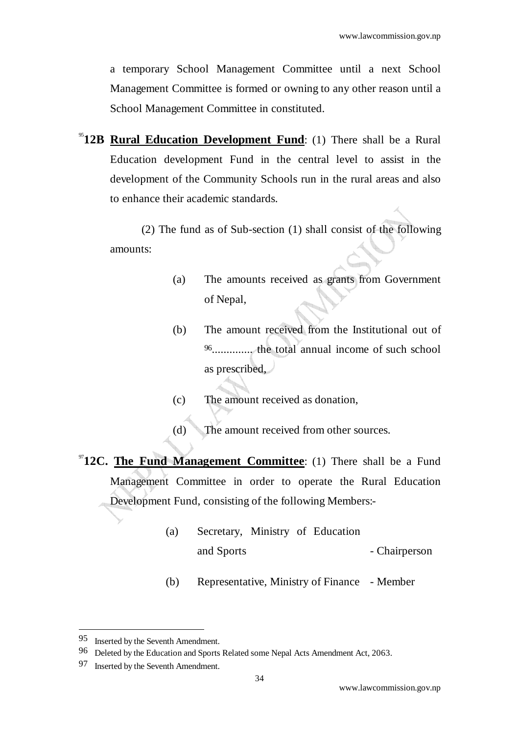a temporary School Management Committee until a next School Management Committee is formed or owning to any other reason until a School Management Committee in constituted.

<sup>95</sup>12B Rural Education Development Fund: (1) There shall be a Rural Education development Fund in the central level to assist in the development of the Community Schools run in the rural areas and also to enhance their academic standards.

(2) The fund as of Sub-section (1) shall consist of the following amounts:

- (a) The amounts received as grants from Government of Nepal,
- (b) The amount received from the Institutional out of 96.............. the total annual income of such school as prescribed,
- (c) The amount received as donation,
- (d) The amount received from other sources.
- <sup>97</sup>12C. The Fund Management Committee: (1) There shall be a Fund Management Committee in order to operate the Rural Education Development Fund, consisting of the following Members:-
	- (a) Secretary, Ministry of Education and Sports - Chairperson

(b) Representative, Ministry of Finance - Member

<sup>95</sup> Inserted by the Seventh Amendment.

<sup>96</sup> Deleted by the Education and Sports Related some Nepal Acts Amendment Act, 2063.

<sup>97</sup> Inserted by the Seventh Amendment.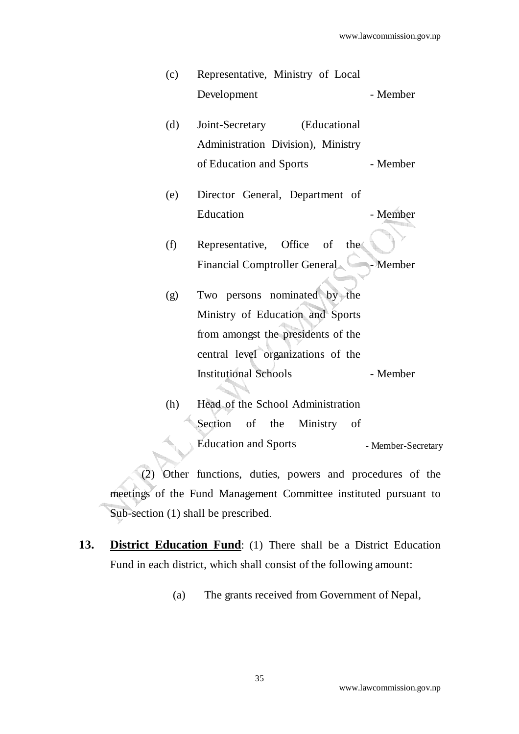| (c) | Representative, Ministry of Local      |                    |
|-----|----------------------------------------|--------------------|
|     | Development                            | - Member           |
| (d) | (Educational<br>Joint-Secretary        |                    |
|     | Administration Division), Ministry     |                    |
|     | of Education and Sports                | - Member           |
| (e) | Director General, Department of        |                    |
|     | Education                              | - Member           |
| (f) | Representative, Office of<br>the       |                    |
|     | Financial Comptroller General - Member |                    |
| (g) | Two persons nominated by the           |                    |
|     | Ministry of Education and Sports       |                    |
|     | from amongst the presidents of the     |                    |
|     | central level organizations of the     |                    |
|     | <b>Institutional Schools</b>           | - Member           |
| (h) | Head of the School Administration      |                    |
|     | Section of the<br>Ministry<br>of       |                    |
|     | <b>Education and Sports</b>            | - Member-Secretary |

(2) Other functions, duties, powers and procedures of the meetings of the Fund Management Committee instituted pursuant to Sub-section (1) shall be prescribed.

**13. District Education Fund**: (1) There shall be a District Education Fund in each district, which shall consist of the following amount:

(a) The grants received from Government of Nepal,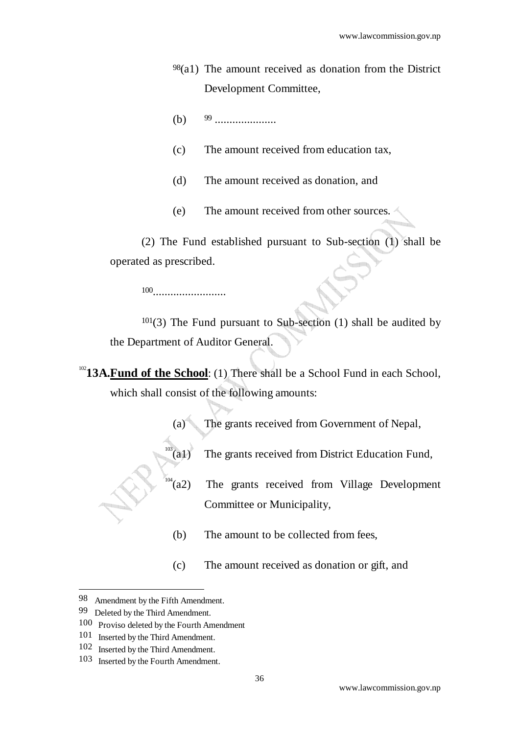- 98(a1) The amount received as donation from the District Development Committee,
- (b) 99 .....................
- (c) The amount received from education tax,
- (d) The amount received as donation, and
- (e) The amount received from other sources.

(2) The Fund established pursuant to Sub-section (1) shall be operated as prescribed.

100.........................

101(3) The Fund pursuant to Sub-section (1) shall be audited by the Department of Auditor General.

<sup>102</sup>13A.Fund of the School: (1) There shall be a School Fund in each School, which shall consist of the following amounts:

(a) The grants received from Government of Nepal,



- $103$  (a1) The grants received from District Education Fund,
- $\int_{104}^{\frac{1}{104}}$ (a2) The grants received from Village Development Committee or Municipality,
	- (b) The amount to be collected from fees,
	- (c) The amount received as donation or gift, and
- 98 Amendment by the Fifth Amendment.
- 99 Deleted by the Third Amendment.

<sup>100</sup> Proviso deleted by the Fourth Amendment

<sup>101</sup> Inserted by the Third Amendment.

<sup>102</sup> Inserted by the Third Amendment.

<sup>103</sup> Inserted by the Fourth Amendment.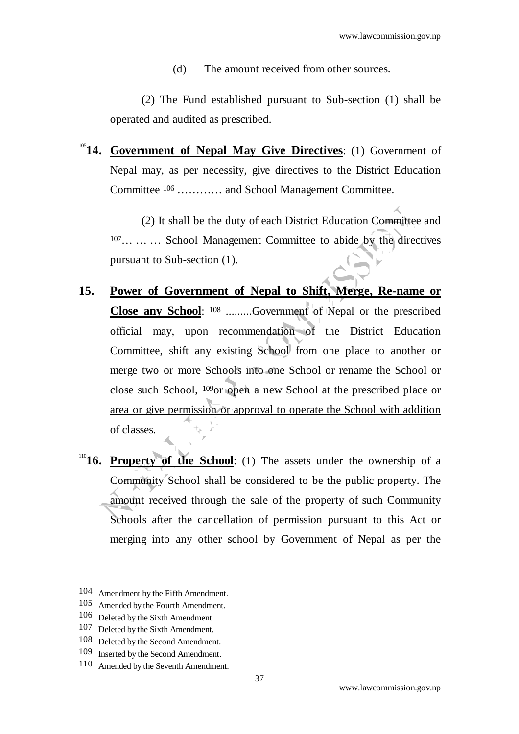(d) The amount received from other sources.

(2) The Fund established pursuant to Sub-section (1) shall be operated and audited as prescribed.

<sup>105</sup>**14. Government of Nepal May Give Directives**: (1) Government of Nepal may, as per necessity, give directives to the District Education Committee 106 ………… and School Management Committee.

(2) It shall be the duty of each District Education Committee and 107… … … School Management Committee to abide by the directives pursuant to Sub-section (1).

- **15. Power of Government of Nepal to Shift, Merge, Re-name or Close any School**: 108 .........Government of Nepal or the prescribed official may, upon recommendation of the District Education Committee, shift any existing School from one place to another or merge two or more Schools into one School or rename the School or close such School, 109or open a new School at the prescribed place or area or give permission or approval to operate the School with addition of classes.
- <sup>110</sup>**16. Property of the School**: (1) The assets under the ownership of a Community School shall be considered to be the public property. The amount received through the sale of the property of such Community Schools after the cancellation of permission pursuant to this Act or merging into any other school by Government of Nepal as per the

-

37

<sup>104</sup> Amendment by the Fifth Amendment.

<sup>105</sup> Amended by the Fourth Amendment.

<sup>106</sup> Deleted by the Sixth Amendment

<sup>107</sup> Deleted by the Sixth Amendment.

<sup>108</sup> Deleted by the Second Amendment.

<sup>109</sup> Inserted by the Second Amendment.

<sup>110</sup> Amended by the Seventh Amendment.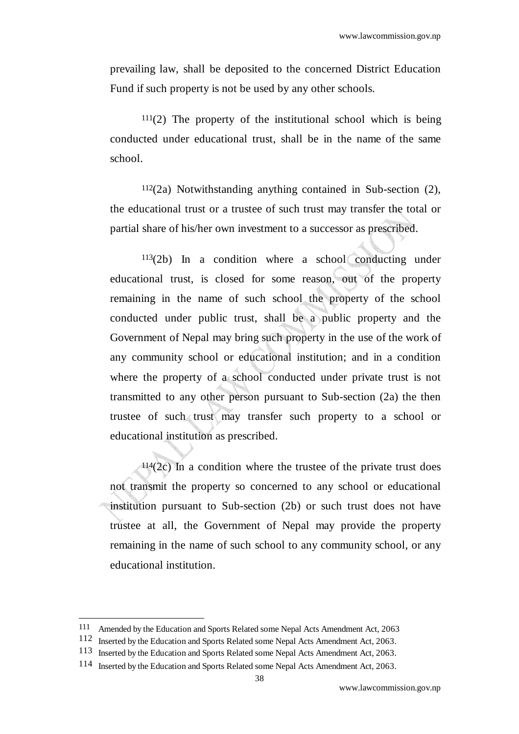prevailing law, shall be deposited to the concerned District Education Fund if such property is not be used by any other schools.

 $111(2)$  The property of the institutional school which is being conducted under educational trust, shall be in the name of the same school.

 $112(2a)$  Notwithstanding anything contained in Sub-section  $(2)$ , the educational trust or a trustee of such trust may transfer the total or partial share of his/her own investment to a successor as prescribed.

 $113(2b)$  In a condition where a school conducting under educational trust, is closed for some reason, out of the property remaining in the name of such school the property of the school conducted under public trust, shall be a public property and the Government of Nepal may bring such property in the use of the work of any community school or educational institution; and in a condition where the property of a school conducted under private trust is not transmitted to any other person pursuant to Sub-section (2a) the then trustee of such trust may transfer such property to a school or educational institution as prescribed.

 $114(2c)$  In a condition where the trustee of the private trust does not transmit the property so concerned to any school or educational institution pursuant to Sub-section (2b) or such trust does not have trustee at all, the Government of Nepal may provide the property remaining in the name of such school to any community school, or any educational institution.

<sup>111</sup> Amended by the Education and Sports Related some Nepal Acts Amendment Act, 2063

<sup>112</sup> Inserted by the Education and Sports Related some Nepal Acts Amendment Act, 2063.

<sup>113</sup> Inserted by the Education and Sports Related some Nepal Acts Amendment Act, 2063.

<sup>114</sup> Inserted by the Education and Sports Related some Nepal Acts Amendment Act, 2063.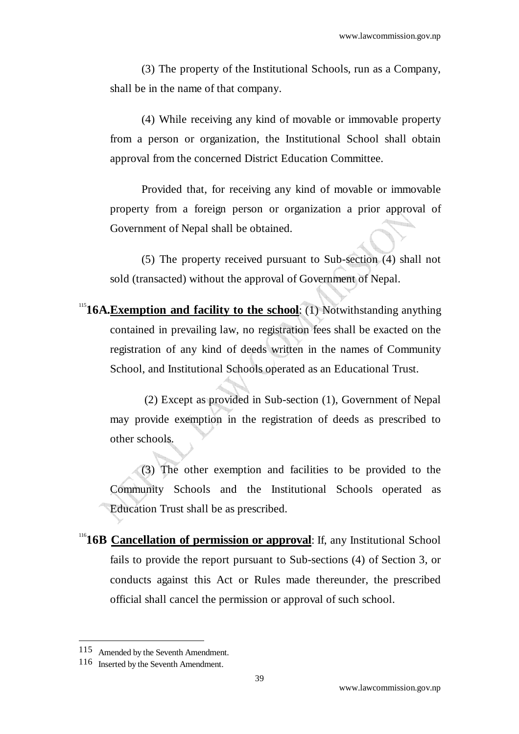(3) The property of the Institutional Schools, run as a Company, shall be in the name of that company.

(4) While receiving any kind of movable or immovable property from a person or organization, the Institutional School shall obtain approval from the concerned District Education Committee.

Provided that, for receiving any kind of movable or immovable property from a foreign person or organization a prior approval of Government of Nepal shall be obtained.

 (5) The property received pursuant to Sub-section (4) shall not sold (transacted) without the approval of Government of Nepal.

<sup>115</sup>**16A.Exemption and facility to the school:** (1) Notwithstanding anything contained in prevailing law, no registration fees shall be exacted on the registration of any kind of deeds written in the names of Community School, and Institutional Schools operated as an Educational Trust.

 (2) Except as provided in Sub-section (1), Government of Nepal may provide exemption in the registration of deeds as prescribed to other schools.

(3) The other exemption and facilities to be provided to the Community Schools and the Institutional Schools operated as Education Trust shall be as prescribed.

<sup>116</sup>**16B Cancellation of permission or approval**: If, any Institutional School fails to provide the report pursuant to Sub-sections (4) of Section 3, or conducts against this Act or Rules made thereunder, the prescribed official shall cancel the permission or approval of such school.

j

<sup>115</sup> Amended by the Seventh Amendment.

<sup>116</sup> Inserted by the Seventh Amendment.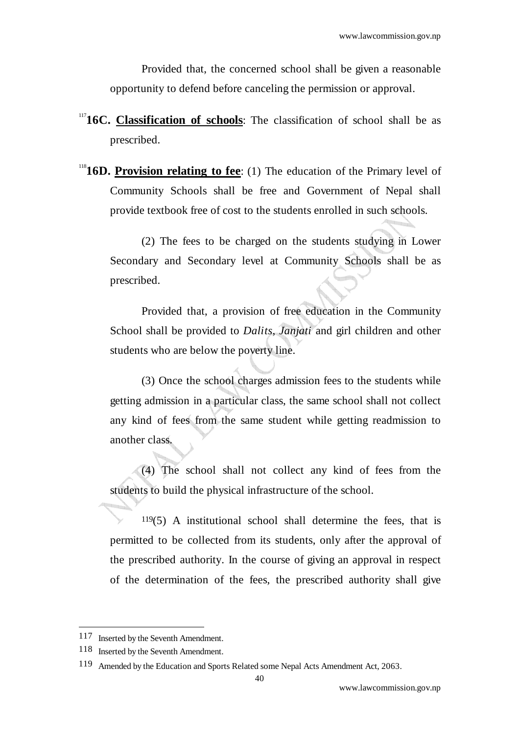Provided that, the concerned school shall be given a reasonable opportunity to defend before canceling the permission or approval.

- <sup>117</sup>**16C. Classification of schools**: The classification of school shall be as prescribed.
- <sup>118</sup>**16D. Provision relating to fee**: (1) The education of the Primary level of Community Schools shall be free and Government of Nepal shall provide textbook free of cost to the students enrolled in such schools.

(2) The fees to be charged on the students studying in Lower Secondary and Secondary level at Community Schools shall be as prescribed.

Provided that, a provision of free education in the Community School shall be provided to *Dalits*, *Janjati* and girl children and other students who are below the poverty line.

(3) Once the school charges admission fees to the students while getting admission in a particular class, the same school shall not collect any kind of fees from the same student while getting readmission to another class.

(4) The school shall not collect any kind of fees from the students to build the physical infrastructure of the school.

 $119(5)$  A institutional school shall determine the fees, that is permitted to be collected from its students, only after the approval of the prescribed authority. In the course of giving an approval in respect of the determination of the fees, the prescribed authority shall give

<sup>117</sup> Inserted by the Seventh Amendment.

<sup>118</sup> Inserted by the Seventh Amendment.

<sup>119</sup> Amended by the Education and Sports Related some Nepal Acts Amendment Act, 2063.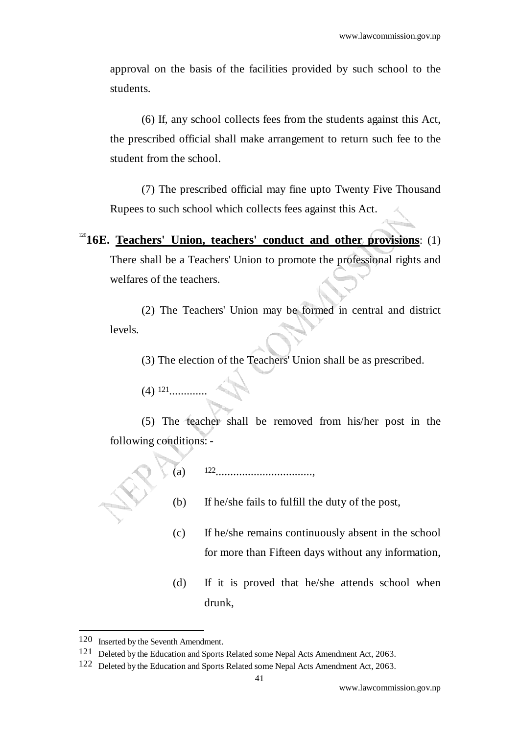approval on the basis of the facilities provided by such school to the students.

(6) If, any school collects fees from the students against this Act, the prescribed official shall make arrangement to return such fee to the student from the school.

(7) The prescribed official may fine upto Twenty Five Thousand Rupees to such school which collects fees against this Act.

 $12016E$ . Teachers' Union, teachers' conduct and other provisions: (1) There shall be a Teachers' Union to promote the professional rights and welfares of the teachers.

(2) The Teachers' Union may be formed in central and district levels.

(3) The election of the Teachers' Union shall be as prescribed.

(4) 121.............

(5) The teacher shall be removed from his/her post in the following conditions: -

- (a) 122................................., (b) If he/she fails to fulfill the duty of the post,
	- (c) If he/she remains continuously absent in the school for more than Fifteen days without any information,
	- (d) If it is proved that he/she attends school when drunk,

<sup>120</sup> Inserted by the Seventh Amendment.

<sup>121</sup> Deleted by the Education and Sports Related some Nepal Acts Amendment Act, 2063.

<sup>122</sup> Deleted by the Education and Sports Related some Nepal Acts Amendment Act, 2063.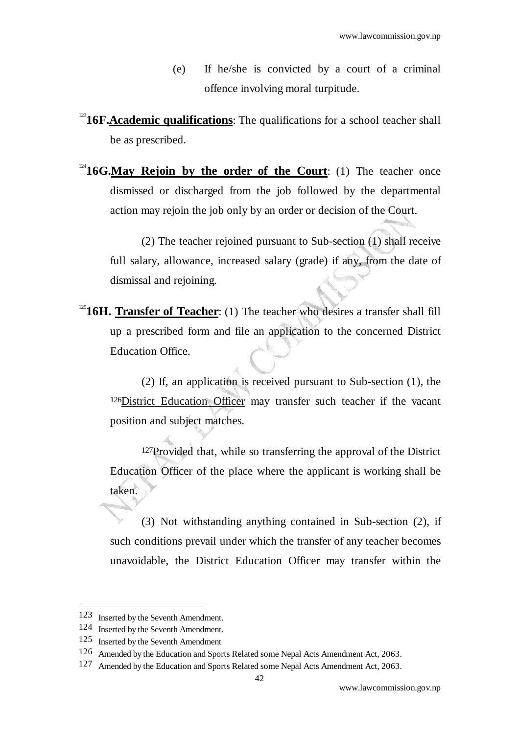- (e) If he/she is convicted by a court of a criminal offence involving moral turpitude.
- <sup>123</sup>16F. Academic qualifications: The qualifications for a school teacher shall be as prescribed.
- $124$ **16G.May Rejoin by the order of the Court**: (1) The teacher once dismissed or discharged from the job followed by the departmental action may rejoin the job only by an order or decision of the Court.

(2) The teacher rejoined pursuant to Sub-section (1) shall receive full salary, allowance, increased salary (grade) if any, from the date of dismissal and rejoining.

<sup>125</sup>16H. Transfer of Teacher: (1) The teacher who desires a transfer shall fill up a prescribed form and file an application to the concerned District Education Office.

 (2) If, an application is received pursuant to Sub-section (1), the 126District Education Officer may transfer such teacher if the vacant position and subject matches.

127Provided that, while so transferring the approval of the District Education Officer of the place where the applicant is working shall be taken.

(3) Not withstanding anything contained in Sub-section (2), if such conditions prevail under which the transfer of any teacher becomes unavoidable, the District Education Officer may transfer within the

<sup>123</sup> Inserted by the Seventh Amendment.

<sup>124</sup> Inserted by the Seventh Amendment.

<sup>125</sup> Inserted by the Seventh Amendment

<sup>126</sup> Amended by the Education and Sports Related some Nepal Acts Amendment Act, 2063.

<sup>127</sup> Amended by the Education and Sports Related some Nepal Acts Amendment Act, 2063.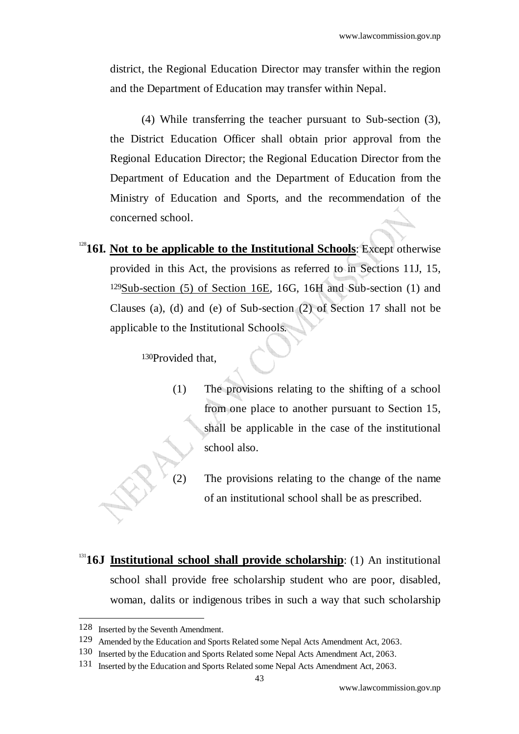district, the Regional Education Director may transfer within the region and the Department of Education may transfer within Nepal.

(4) While transferring the teacher pursuant to Sub-section (3), the District Education Officer shall obtain prior approval from the Regional Education Director; the Regional Education Director from the Department of Education and the Department of Education from the Ministry of Education and Sports, and the recommendation of the concerned school.

<sup>128</sup>**16I.** Not to be applicable to the Institutional Schools: Except otherwise provided in this Act, the provisions as referred to in Sections 11J, 15, 129Sub-section (5) of Section 16E, 16G, 16H and Sub-section (1) and Clauses (a), (d) and (e) of Sub-section (2) of Section 17 shall not be applicable to the Institutional Schools*.* 

130Provided that,

- (1) The provisions relating to the shifting of a school from one place to another pursuant to Section 15, shall be applicable in the case of the institutional school also.
	- The provisions relating to the change of the name of an institutional school shall be as prescribed.
- <sup>131</sup>**16J Institutional school shall provide scholarship**: (1) An institutional school shall provide free scholarship student who are poor, disabled, woman, dalits or indigenous tribes in such a way that such scholarship

<sup>128</sup> Inserted by the Seventh Amendment.

<sup>129</sup> Amended by the Education and Sports Related some Nepal Acts Amendment Act, 2063.

<sup>130</sup> Inserted by the Education and Sports Related some Nepal Acts Amendment Act, 2063.

<sup>131</sup> Inserted by the Education and Sports Related some Nepal Acts Amendment Act, 2063.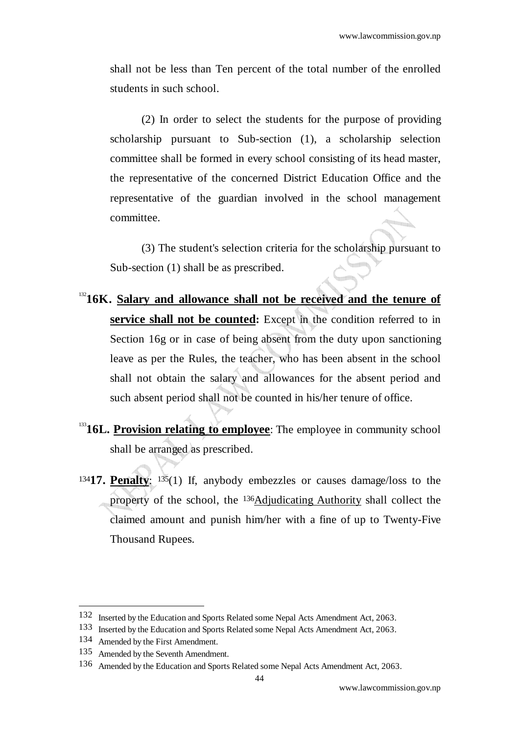shall not be less than Ten percent of the total number of the enrolled students in such school.

(2) In order to select the students for the purpose of providing scholarship pursuant to Sub-section (1), a scholarship selection committee shall be formed in every school consisting of its head master, the representative of the concerned District Education Office and the representative of the guardian involved in the school management committee.

(3) The student's selection criteria for the scholarship pursuant to Sub-section (1) shall be as prescribed.

- <sup>132</sup>16K. Salary and allowance shall not be received and the tenure of **service shall not be counted:** Except in the condition referred to in Section 16g or in case of being absent from the duty upon sanctioning leave as per the Rules, the teacher, who has been absent in the school shall not obtain the salary and allowances for the absent period and such absent period shall not be counted in his/her tenure of office.
- <sup>133</sup>16L. Provision relating to employee: The employee in community school shall be arranged as prescribed.
- <sup>134</sup>**17. Penalty**: 135(1) If, anybody embezzles or causes damage/loss to the property of the school, the 136Adjudicating Authority shall collect the claimed amount and punish him/her with a fine of up to Twenty-Five Thousand Rupees.

<sup>132</sup> Inserted by the Education and Sports Related some Nepal Acts Amendment Act, 2063.

<sup>133</sup> Inserted by the Education and Sports Related some Nepal Acts Amendment Act, 2063.

<sup>134</sup> Amended by the First Amendment.

<sup>135</sup> Amended by the Seventh Amendment.

<sup>136</sup> Amended by the Education and Sports Related some Nepal Acts Amendment Act, 2063.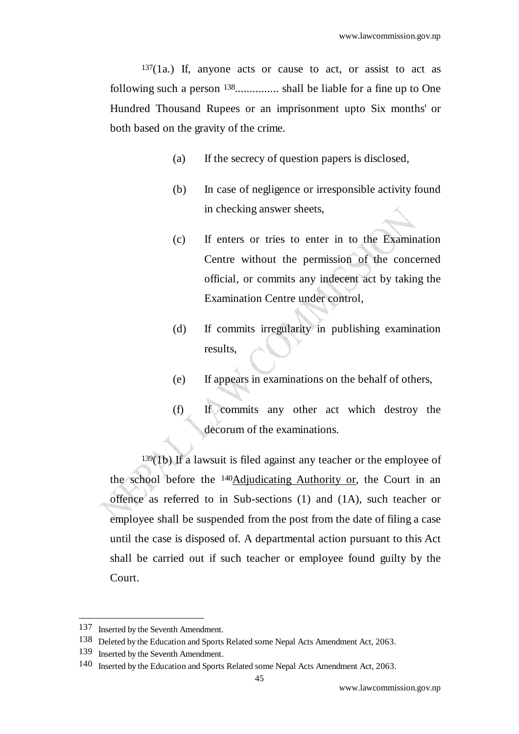$137(1a)$  If, anyone acts or cause to act, or assist to act as following such a person 138............... shall be liable for a fine up to One Hundred Thousand Rupees or an imprisonment upto Six months' or both based on the gravity of the crime.

- (a) If the secrecy of question papers is disclosed,
- (b) In case of negligence or irresponsible activity found in checking answer sheets,
- (c) If enters or tries to enter in to the Examination Centre without the permission of the concerned official, or commits any indecent act by taking the Examination Centre under control,
- (d) If commits irregularity in publishing examination results,
- (e) If appears in examinations on the behalf of others,
- (f) If commits any other act which destroy the decorum of the examinations.

 $139(1b)$  If a lawsuit is filed against any teacher or the employee of the school before the 140Adjudicating Authority or, the Court in an offence as referred to in Sub-sections (1) and (1A), such teacher or employee shall be suspended from the post from the date of filing a case until the case is disposed of. A departmental action pursuant to this Act shall be carried out if such teacher or employee found guilty by the Court.

<sup>137</sup> Inserted by the Seventh Amendment.

<sup>138</sup> Deleted by the Education and Sports Related some Nepal Acts Amendment Act, 2063.

<sup>139</sup> Inserted by the Seventh Amendment.

<sup>140</sup> Inserted by the Education and Sports Related some Nepal Acts Amendment Act, 2063.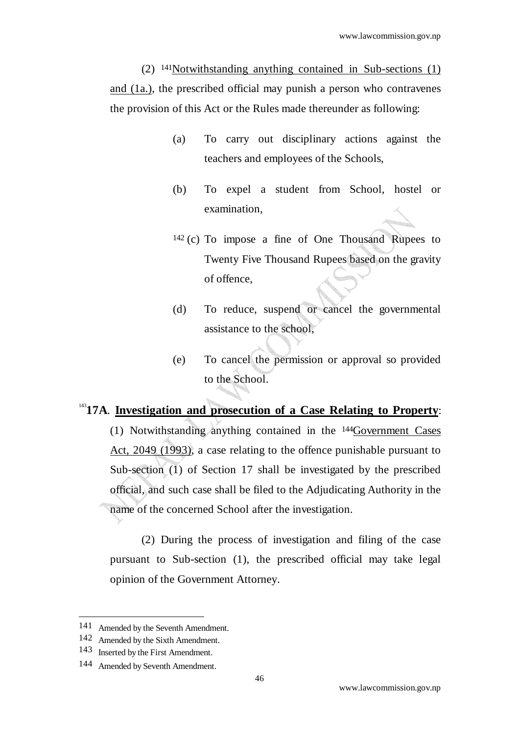(2) 141Notwithstanding anything contained in Sub-sections (1) and (1a.), the prescribed official may punish a person who contravenes the provision of this Act or the Rules made thereunder as following:

- (a) To carry out disciplinary actions against the teachers and employees of the Schools,
- (b) To expel a student from School, hostel or examination,
- 142 (c) To impose a fine of One Thousand Rupees to Twenty Five Thousand Rupees based on the gravity of offence,
- (d) To reduce, suspend or cancel the governmental assistance to the school,
- (e) To cancel the permission or approval so provided to the School.

## <sup>143</sup>17A. **Investigation and prosecution of a Case Relating to Property:**

(1) Notwithstanding anything contained in the 144Government Cases Act, 2049 (1993), a case relating to the offence punishable pursuant to Sub-section (1) of Section 17 shall be investigated by the prescribed official, and such case shall be filed to the Adjudicating Authority in the name of the concerned School after the investigation.

 (2) During the process of investigation and filing of the case pursuant to Sub-section (1), the prescribed official may take legal opinion of the Government Attorney.

<sup>141</sup> Amended by the Seventh Amendment.

<sup>142</sup> Amended by the Sixth Amendment.

<sup>143</sup> Inserted by the First Amendment.

<sup>144</sup> Amended by Seventh Amendment.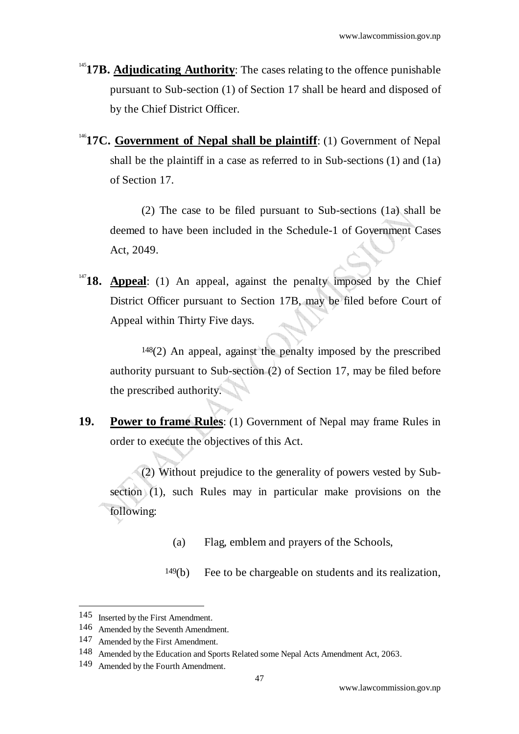- <sup>145</sup>17B. Adjudicating Authority: The cases relating to the offence punishable pursuant to Sub-section (1) of Section 17 shall be heard and disposed of by the Chief District Officer.
- <sup>146</sup>**17C. Government of Nepal shall be plaintiff**: (1) Government of Nepal shall be the plaintiff in a case as referred to in Sub-sections (1) and (1a) of Section 17.

(2) The case to be filed pursuant to Sub-sections (1a) shall be deemed to have been included in the Schedule-1 of Government Cases Act, 2049.

<sup>147</sup>**18. Appeal**: (1) An appeal, against the penalty imposed by the Chief District Officer pursuant to Section 17B, may be filed before Court of Appeal within Thirty Five days.

148(2) An appeal, against the penalty imposed by the prescribed authority pursuant to Sub-section (2) of Section 17, may be filed before the prescribed authority.

**19. Power to frame Rules**: (1) Government of Nepal may frame Rules in order to execute the objectives of this Act.

 (2) Without prejudice to the generality of powers vested by Subsection (1), such Rules may in particular make provisions on the following:

(a) Flag, emblem and prayers of the Schools,

149(b) Fee to be chargeable on students and its realization,

<sup>145</sup> Inserted by the First Amendment.

<sup>146</sup> Amended by the Seventh Amendment.

<sup>147</sup> Amended by the First Amendment.

<sup>148</sup> Amended by the Education and Sports Related some Nepal Acts Amendment Act, 2063.

<sup>149</sup> Amended by the Fourth Amendment.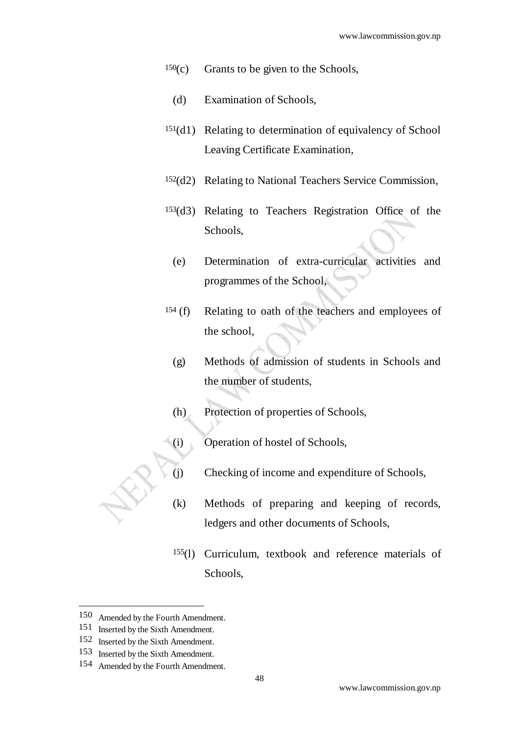- $150(c)$  Grants to be given to the Schools,
	- (d) Examination of Schools,
- 151(d1) Relating to determination of equivalency of School Leaving Certificate Examination,
- 152(d2) Relating to National Teachers Service Commission,
- 153(d3) Relating to Teachers Registration Office of the Schools,
	- (e) Determination of extra-curricular activities and programmes of the School,
- 154 (f) Relating to oath of the teachers and employees of the school,
	- (g) Methods of admission of students in Schools and the number of students,
	- (h) Protection of properties of Schools,
- (i) Operation of hostel of Schools,
- (j) Checking of income and expenditure of Schools,
- (k) Methods of preparing and keeping of records, ledgers and other documents of Schools,
- 155(l) Curriculum, textbook and reference materials of Schools,

<sup>150</sup> Amended by the Fourth Amendment.

<sup>151</sup> Inserted by the Sixth Amendment.

<sup>152</sup> Inserted by the Sixth Amendment.

<sup>153</sup> Inserted by the Sixth Amendment.

<sup>154</sup> Amended by the Fourth Amendment.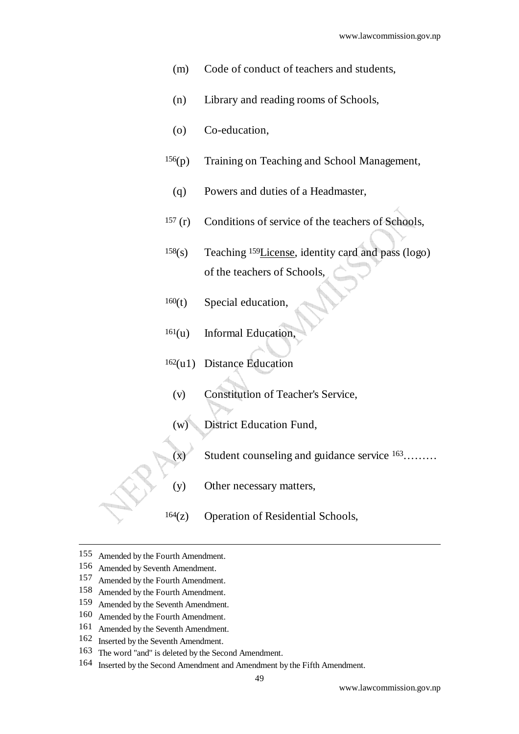- (m) Code of conduct of teachers and students,
- (n) Library and reading rooms of Schools,
- (o) Co-education,
- 156(p) Training on Teaching and School Management,
- (q) Powers and duties of a Headmaster,
- 157 (r) Conditions of service of the teachers of Schools,
- 158(s) Teaching 159License, identity card and pass (logo) of the teachers of Schools,
- $160(t)$  Special education,
- $161(u)$  Informal Education,
- 162(u1) Distance Education
	- (v) Constitution of Teacher's Service,
	- (w) District Education Fund,
	- $(x)$  Student counseling and guidance service  $163$ .......
	- (y) Other necessary matters,
- $164(z)$  Operation of Residential Schools,
- 155 Amended by the Fourth Amendment.<br>156 Amended by Seventh Amendment.
- Amended by Seventh Amendment.

- 157 Amended by the Fourth Amendment.
- 158 Amended by the Fourth Amendment.<br>159 Amended by the Seventh Amendment
- 159 Amended by the Seventh Amendment.<br>160 Amended by the Fourth Amendment.
- Amended by the Fourth Amendment.
- 161 Amended by the Seventh Amendment.
- 162 Inserted by the Seventh Amendment.
- 163 The word "and" is deleted by the Second Amendment.
- 164 Inserted by the Second Amendment and Amendment by the Fifth Amendment.